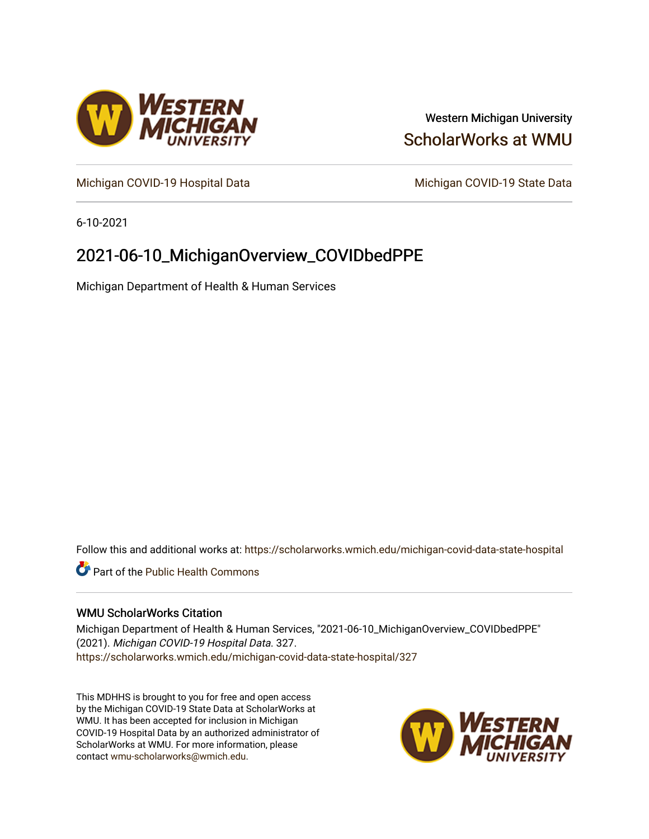

# Western Michigan University [ScholarWorks at WMU](https://scholarworks.wmich.edu/)

[Michigan COVID-19 Hospital Data](https://scholarworks.wmich.edu/michigan-covid-data-state-hospital) Michigan COVID-19 State Data

6-10-2021

# 2021-06-10\_MichiganOverview\_COVIDbedPPE

Michigan Department of Health & Human Services

Follow this and additional works at: [https://scholarworks.wmich.edu/michigan-covid-data-state-hospital](https://scholarworks.wmich.edu/michigan-covid-data-state-hospital?utm_source=scholarworks.wmich.edu%2Fmichigan-covid-data-state-hospital%2F327&utm_medium=PDF&utm_campaign=PDFCoverPages) 

**Part of the Public Health Commons** 

## WMU ScholarWorks Citation

Michigan Department of Health & Human Services, "2021-06-10\_MichiganOverview\_COVIDbedPPE" (2021). Michigan COVID-19 Hospital Data. 327. [https://scholarworks.wmich.edu/michigan-covid-data-state-hospital/327](https://scholarworks.wmich.edu/michigan-covid-data-state-hospital/327?utm_source=scholarworks.wmich.edu%2Fmichigan-covid-data-state-hospital%2F327&utm_medium=PDF&utm_campaign=PDFCoverPages) 

This MDHHS is brought to you for free and open access by the Michigan COVID-19 State Data at ScholarWorks at WMU. It has been accepted for inclusion in Michigan COVID-19 Hospital Data by an authorized administrator of ScholarWorks at WMU. For more information, please contact [wmu-scholarworks@wmich.edu](mailto:wmu-scholarworks@wmich.edu).

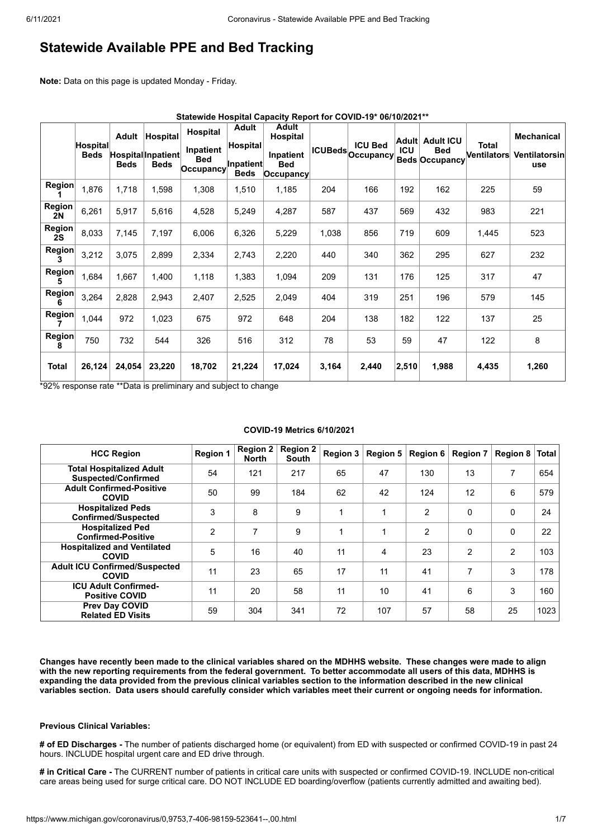# **Statewide Available PPE and Bed Tracking**

**Note:** Data on this page is updated Monday - Friday.

|                            | Statewide Hospital Capacity Report for COVID-19* 06/10/2021** |                             |                                               |                                                  |                                                             |                                                               |       |                                            |                     |                                                         |                             |                                           |
|----------------------------|---------------------------------------------------------------|-----------------------------|-----------------------------------------------|--------------------------------------------------|-------------------------------------------------------------|---------------------------------------------------------------|-------|--------------------------------------------|---------------------|---------------------------------------------------------|-----------------------------|-------------------------------------------|
|                            | Hospital<br><b>Beds</b>                                       | <b>Adult</b><br><b>Beds</b> | Hospital<br>Hospital Inpatient<br><b>Beds</b> | Hospital<br>Inpatient<br><b>Bed</b><br>Occupancy | <b>Adult</b><br><b>Hospital</b><br>Inpatient<br><b>Beds</b> | Adult<br>Hospital<br>Inpatient<br><b>Bed</b><br>$ $ Occupancy |       | <b>ICU Bed</b><br><b>ICUBeds</b> Occupancy | Adult<br><b>ICU</b> | <b>Adult ICU</b><br><b>Bed</b><br><b>Beds Occupancy</b> | <b>Total</b><br>Ventilators | <b>Mechanical</b><br>Ventilatorsin<br>use |
| <b>Region</b>              | 1,876                                                         | 1,718                       | 1,598                                         | 1,308                                            | 1,510                                                       | 1,185                                                         | 204   | 166                                        | 192                 | 162                                                     | 225                         | 59                                        |
| Region<br><b>2N</b>        | 6,261                                                         | 5,917                       | 5,616                                         | 4,528                                            | 5,249                                                       | 4,287                                                         | 587   | 437                                        | 569                 | 432                                                     | 983                         | 221                                       |
| <b>Region</b><br><b>2S</b> | 8,033                                                         | 7,145                       | 7,197                                         | 6,006                                            | 6,326                                                       | 5,229                                                         | 1,038 | 856                                        | 719                 | 609                                                     | 1,445                       | 523                                       |
| <b>Region</b>              | 3,212                                                         | 3,075                       | 2,899                                         | 2,334                                            | 2,743                                                       | 2,220                                                         | 440   | 340                                        | 362                 | 295                                                     | 627                         | 232                                       |
| Region<br>5                | 1,684                                                         | 1,667                       | 1,400                                         | 1,118                                            | 1,383                                                       | 1,094                                                         | 209   | 131                                        | 176                 | 125                                                     | 317                         | 47                                        |
| Region<br>6                | 3,264                                                         | 2,828                       | 2,943                                         | 2,407                                            | 2,525                                                       | 2,049                                                         | 404   | 319                                        | 251                 | 196                                                     | 579                         | 145                                       |
| Region                     | 1,044                                                         | 972                         | 1,023                                         | 675                                              | 972                                                         | 648                                                           | 204   | 138                                        | 182                 | 122                                                     | 137                         | 25                                        |
| <b>Region</b><br>8         | 750                                                           | 732                         | 544                                           | 326                                              | 516                                                         | 312                                                           | 78    | 53                                         | 59                  | 47                                                      | 122                         | 8                                         |
| <b>Total</b>               | 26,124                                                        | 24,054                      | 23,220                                        | 18,702                                           | 21,224                                                      | 17,024                                                        | 3,164 | 2,440                                      | 2,510               | 1,988                                                   | 4,435                       | 1,260                                     |

\*92% response rate \*\*Data is preliminary and subject to change

### **COVID-19 Metrics 6/10/2021**

| <b>HCC Region</b>                                             | <b>Region 1</b> | <b>Region 2</b><br><b>North</b> | <b>Region 2</b><br><b>South</b> | <b>Region 3</b> | <b>Region 5</b>         | <b>Region 6</b> | <b>Region 7</b> | Region 8 $ $   | <b>Total</b> |
|---------------------------------------------------------------|-----------------|---------------------------------|---------------------------------|-----------------|-------------------------|-----------------|-----------------|----------------|--------------|
| <b>Total Hospitalized Adult</b><br><b>Suspected/Confirmed</b> | 54              | 121                             | 217                             | 65              | 47                      | 130             | 13              | 7              | 654          |
| <b>Adult Confirmed-Positive</b><br><b>COVID</b>               | 50              | 99                              | 184                             | 62              | 42                      | 124             | 12              | 6              | 579          |
| <b>Hospitalized Peds</b><br><b>Confirmed/Suspected</b>        | 3               | 8                               | 9                               | 1               |                         | $\overline{2}$  | 0               | $\Omega$       | 24           |
| <b>Hospitalized Ped</b><br><b>Confirmed-Positive</b>          | 2               | 7                               | 9                               |                 |                         | $\overline{2}$  | $\mathbf{0}$    | $\Omega$       | 22           |
| <b>Hospitalized and Ventilated</b><br><b>COVID</b>            | 5               | 16                              | 40                              | 11              | $\overline{\mathbf{4}}$ | 23              | 2               | $\overline{2}$ | 103          |
| <b>Adult ICU Confirmed/Suspected</b><br><b>COVID</b>          | 11              | 23                              | 65                              | 17              | 11                      | 41              | 7               | 3              | 178          |
| <b>ICU Adult Confirmed-</b><br><b>Positive COVID</b>          | 11              | 20                              | 58                              | 11              | 10                      | 41              | 6               | 3              | 160          |
| Prev Day COVID<br><b>Related ED Visits</b>                    | 59              | 304                             | 341                             | 72              | 107                     | 57              | 58              | 25             | 1023         |

**Changes have recently been made to the clinical variables shared on the MDHHS website. These changes were made to align with the new reporting requirements from the federal government. To better accommodate all users of this data, MDHHS is expanding the data provided from the previous clinical variables section to the information described in the new clinical variables section. Data users should carefully consider which variables meet their current or ongoing needs for information.**

### **Previous Clinical Variables:**

**# of ED Discharges -** The number of patients discharged home (or equivalent) from ED with suspected or confirmed COVID-19 in past 24 hours. INCLUDE hospital urgent care and ED drive through.

**# in Critical Care -** The CURRENT number of patients in critical care units with suspected or confirmed COVID-19. INCLUDE non-critical care areas being used for surge critical care. DO NOT INCLUDE ED boarding/overflow (patients currently admitted and awaiting bed).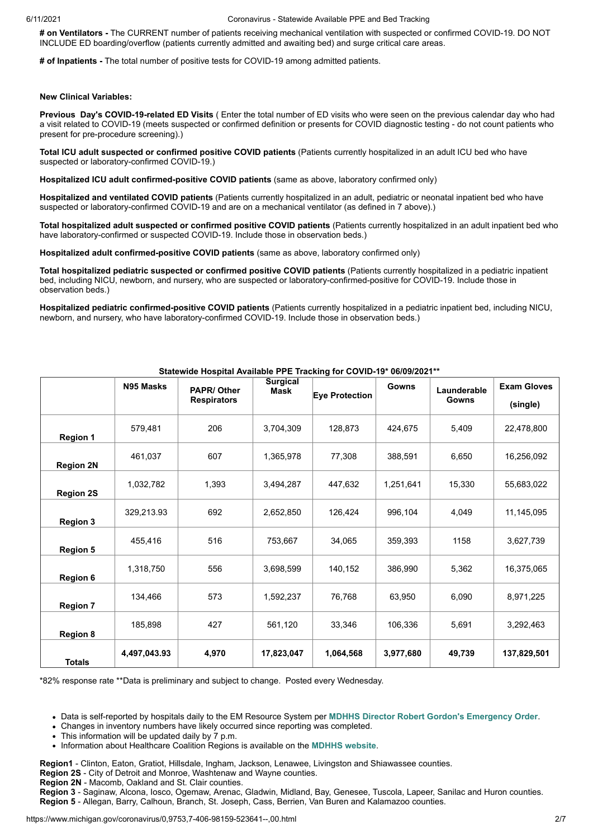**# on Ventilators -** The CURRENT number of patients receiving mechanical ventilation with suspected or confirmed COVID-19. DO NOT INCLUDE ED boarding/overflow (patients currently admitted and awaiting bed) and surge critical care areas.

**# of Inpatients -** The total number of positive tests for COVID-19 among admitted patients.

#### **New Clinical Variables:**

**Previous Day's COVID-19-related ED Visits** ( Enter the total number of ED visits who were seen on the previous calendar day who had a visit related to COVID-19 (meets suspected or confirmed definition or presents for COVID diagnostic testing - do not count patients who present for pre-procedure screening).)

**Total ICU adult suspected or confirmed positive COVID patients** (Patients currently hospitalized in an adult ICU bed who have suspected or laboratory-confirmed COVID-19.)

**Hospitalized ICU adult confirmed-positive COVID patients** (same as above, laboratory confirmed only)

**Hospitalized and ventilated COVID patients** (Patients currently hospitalized in an adult, pediatric or neonatal inpatient bed who have suspected or laboratory-confirmed COVID-19 and are on a mechanical ventilator (as defined in 7 above).)

**Total hospitalized adult suspected or confirmed positive COVID patients** (Patients currently hospitalized in an adult inpatient bed who have laboratory-confirmed or suspected COVID-19. Include those in observation beds.)

**Hospitalized adult confirmed-positive COVID patients** (same as above, laboratory confirmed only)

**Total hospitalized pediatric suspected or confirmed positive COVID patients** (Patients currently hospitalized in a pediatric inpatient bed, including NICU, newborn, and nursery, who are suspected or laboratory-confirmed-positive for COVID-19. Include those in observation beds.)

**Hospitalized pediatric confirmed-positive COVID patients** (Patients currently hospitalized in a pediatric inpatient bed, including NICU, newborn, and nursery, who have laboratory-confirmed COVID-19. Include those in observation beds.)

|                  | N95 Masks    | <b>PAPR/Other</b>  |            |                | Gowns     | Launderable | <b>Exam Gloves</b> |
|------------------|--------------|--------------------|------------|----------------|-----------|-------------|--------------------|
|                  |              | <b>Respirators</b> |            | Eye Protection |           | Gowns       | (single)           |
| <b>Region 1</b>  | 579,481      | 206                | 3,704,309  | 128,873        | 424.675   | 5,409       | 22,478,800         |
| <b>Region 2N</b> | 461,037      | 607                | 1,365,978  | 77,308         | 388,591   | 6,650       | 16,256,092         |
| <b>Region 2S</b> | 1,032,782    | 1,393              | 3,494,287  | 447,632        | 1,251,641 | 15,330      | 55,683,022         |
| <b>Region 3</b>  | 329,213.93   | 692                | 2,652,850  | 126,424        | 996,104   | 4,049       | 11,145,095         |
| <b>Region 5</b>  | 455,416      | 516                | 753,667    | 34,065         | 359,393   | 1158        | 3,627,739          |
| <b>Region 6</b>  | 1,318,750    | 556                | 3,698,599  | 140,152        | 386,990   | 5,362       | 16,375,065         |
| <b>Region 7</b>  | 134,466      | 573                | 1,592,237  | 76,768         | 63,950    | 6,090       | 8,971,225          |
| <b>Region 8</b>  | 185,898      | 427                | 561,120    | 33,346         | 106,336   | 5,691       | 3,292,463          |
| <b>Totals</b>    | 4,497,043.93 | 4,970              | 17,823,047 | 1,064,568      | 3,977,680 | 49,739      | 137,829,501        |

### **Statewide Hospital Available PPE Tracking for COVID-19\* 06/09/2021\*\***

\*82% response rate \*\*Data is preliminary and subject to change. Posted every Wednesday.

Data is self-reported by hospitals daily to the EM Resource System per **[MDHHS Director Robert Gordon's Emergency Order](https://www.michigan.gov/documents/coronavirus/MDHHS_epidemic_reporting_order_and_instructions_684709_7.pdf)**.

Changes in inventory numbers have likely occurred since reporting was completed.

- This information will be updated daily by 7 p.m.
- Information about Healthcare Coalition Regions is available on the **[MDHHS website](https://www.michigan.gov/mdhhs/0,5885,7-339-71548_54783_54826_56171-237197--,00.html#hcc)**.

**Region1** - Clinton, Eaton, Gratiot, Hillsdale, Ingham, Jackson, Lenawee, Livingston and Shiawassee counties.

**Region 2S** - City of Detroit and Monroe, Washtenaw and Wayne counties.

**Region 2N** - Macomb, Oakland and St. Clair counties.

**Region 3** - Saginaw, Alcona, Iosco, Ogemaw, Arenac, Gladwin, Midland, Bay, Genesee, Tuscola, Lapeer, Sanilac and Huron counties. **Region 5** - Allegan, Barry, Calhoun, Branch, St. Joseph, Cass, Berrien, Van Buren and Kalamazoo counties.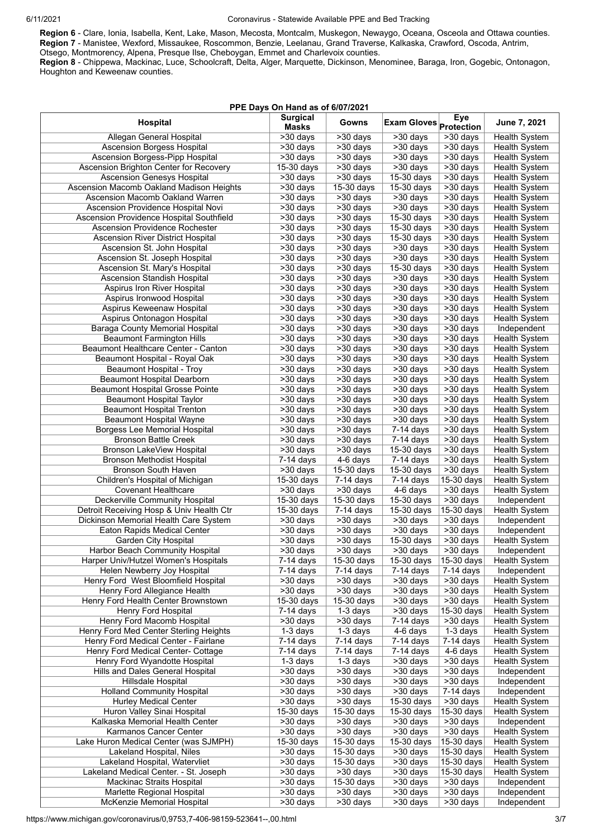**Region 6** - Clare, Ionia, Isabella, Kent, Lake, Mason, Mecosta, Montcalm, Muskegon, Newaygo, Oceana, Osceola and Ottawa counties. **Region 7** - Manistee, Wexford, Missaukee, Roscommon, Benzie, Leelanau, Grand Traverse, Kalkaska, Crawford, Oscoda, Antrim, Otsego, Montmorency, Alpena, Presque Ilse, Cheboygan, Emmet and Charlevoix counties.

**Region 8** - Chippewa, Mackinac, Luce, Schoolcraft, Delta, Alger, Marquette, Dickinson, Menominee, Baraga, Iron, Gogebic, Ontonagon, Houghton and Keweenaw counties.

| PPE Days On Hand as of 6/07/2021                                |                                                |                                          |                                         |                                                   |                                       |  |  |  |
|-----------------------------------------------------------------|------------------------------------------------|------------------------------------------|-----------------------------------------|---------------------------------------------------|---------------------------------------|--|--|--|
| Hospital                                                        | <b>Surgical</b><br><b>Masks</b>                | Gowns                                    | <b>Exam Gloves</b> Protection           | Eye                                               | June 7, 2021                          |  |  |  |
| Allegan General Hospital                                        | $\overline{\smash{\times 30}}$ days            | >30 days                                 | $\overline{>30}$ days                   | >30 days                                          | <b>Health System</b>                  |  |  |  |
| <b>Ascension Borgess Hospital</b>                               | $\overline{>30}$ days                          | >30 days                                 | >30 days                                | >30 days                                          | Health System                         |  |  |  |
| <b>Ascension Borgess-Pipp Hospital</b>                          | >30 days                                       | >30 days                                 | >30 days                                | $\overline{\phantom{1}}$ > 30 days                | <b>Health System</b>                  |  |  |  |
| Ascension Brighton Center for Recovery                          | 15-30 days                                     | $\overline{\sim}30$ days                 | $>30$ days                              | $>30$ days                                        | <b>Health System</b>                  |  |  |  |
| <b>Ascension Genesys Hospital</b>                               | $>30$ days                                     | $>30$ days                               | 15-30 days                              | >30 days                                          | <b>Health System</b>                  |  |  |  |
| Ascension Macomb Oakland Madison Heights                        | $>30$ days                                     | $15-30$ days                             | $15-30$ days                            | $>30$ days                                        | <b>Health System</b>                  |  |  |  |
| Ascension Macomb Oakland Warren                                 | $>30$ days                                     | $>30$ days                               | $>30$ days                              | $>30$ days                                        | <b>Health System</b>                  |  |  |  |
| Ascension Providence Hospital Novi                              | >30 days                                       | $530$ days                               | >30 days                                | >30 days                                          | <b>Health System</b>                  |  |  |  |
| Ascension Providence Hospital Southfield                        | $>30$ days                                     | $>30$ days                               | $15-30$ days                            | $>30$ days                                        | <b>Health System</b>                  |  |  |  |
| <b>Ascension Providence Rochester</b>                           | $>30$ days                                     | $\overline{\smash{\times 30}}$ days      | 15-30 days                              | $>30$ days                                        | <b>Health System</b>                  |  |  |  |
| <b>Ascension River District Hospital</b>                        | $>30$ days                                     | $530$ days                               | $15-30$ days                            | $>30$ days                                        | <b>Health System</b>                  |  |  |  |
| Ascension St. John Hospital                                     | >30 days                                       | >30 days                                 | $>30$ days                              | $>30$ days                                        | <b>Health System</b>                  |  |  |  |
| Ascension St. Joseph Hospital                                   | $\overline{\phantom{1}}$ > 30 days             | $\overline{\phantom{1}}$ >30 days        | $\overline{\phantom{1}}$ > 30 days      | $\overline{\phantom{1}}$ > 30 days                | Health System                         |  |  |  |
| Ascension St. Mary's Hospital                                   | >30 days                                       | >30 days                                 | $15-30$ days                            | $\overline{\smash{\sim}}30\ \text{days}$          | Health System                         |  |  |  |
| Ascension Standish Hospital                                     | >30 days                                       | >30 days                                 | >30 days                                | $>30$ days                                        | Health System                         |  |  |  |
| Aspirus Iron River Hospital                                     | >30 days                                       | >30 days                                 | $\overline{\phantom{1}}$ > 30 days      | $\overline{\phantom{1}}$ > 30 days                | Health System                         |  |  |  |
| Aspirus Ironwood Hospital                                       | $\overline{>30}$ days                          | $530$ days                               | $\overline{\phantom{1}}$ > 30 days      | $>30$ days                                        | <b>Health System</b>                  |  |  |  |
| Aspirus Keweenaw Hospital                                       | $\overline{>30}$ days                          | $\overline{>30}$ days                    | $>30$ days                              | >30 days                                          | Health System                         |  |  |  |
| Aspirus Ontonagon Hospital                                      | >30 days                                       | >30 days                                 | >30 days                                | $\overline{\phantom{1}}$ > 30 days                | <b>Health System</b>                  |  |  |  |
| <b>Baraga County Memorial Hospital</b>                          | >30 days                                       | $\overline{\smash{\sim}}30\ \text{days}$ | >30 days                                | $>30$ days                                        | Independent                           |  |  |  |
| <b>Beaumont Farmington Hills</b>                                | $\overline{>30}$ days                          | $\overline{>30}$ days                    | >30 days                                | $\overline{>30}$ days                             | Health System                         |  |  |  |
| Beaumont Healthcare Center - Canton                             | >30 days                                       | $\overline{\sim}30$ days                 | $\overline{\smash{\sim}}30\;{\rm days}$ | $>30$ days                                        | Health System                         |  |  |  |
| Beaumont Hospital - Royal Oak                                   | $\overline{\sim}30$ days                       | $\overline{\sim}30$ days                 | $\overline{\phantom{1}}$ > 30 days      | $>30$ days                                        | Health System                         |  |  |  |
| <b>Beaumont Hospital - Troy</b>                                 | >30 days                                       | >30 days                                 | >30 days                                | >30 days                                          | <b>Health System</b>                  |  |  |  |
| <b>Beaumont Hospital Dearborn</b>                               | $\overline{\smash{\times 30}}$ days            | >30 days                                 | >30 days                                | $\overline{>30}$ days                             | Health System                         |  |  |  |
| <b>Beaumont Hospital Grosse Pointe</b>                          | $530 \text{ days}$                             | $\overline{>30}$ days                    | $\overline{\smash{\sim}}30\;{\rm days}$ | $\overline{\smash{\sim}30}$ days                  | Health System                         |  |  |  |
| <b>Beaumont Hospital Taylor</b>                                 | >30 days                                       | >30 days                                 | >30 days                                | >30 days                                          | Health System                         |  |  |  |
| <b>Beaumont Hospital Trenton</b>                                | >30 days                                       | >30 days                                 | >30 days                                | $>30$ days                                        | Health System                         |  |  |  |
| Beaumont Hospital Wayne                                         | $\overline{>30}$ days                          | $\overline{>30}$ days                    | $\overline{\smash{\sim}}30\;{\rm days}$ | $\overline{\phantom{1}}$ > 30 days                | <b>Health System</b>                  |  |  |  |
| Borgess Lee Memorial Hospital                                   | >30 days                                       | >30 days                                 | $7-14$ days                             | $>30$ days                                        | Health System                         |  |  |  |
| <b>Bronson Battle Creek</b><br><b>Bronson LakeView Hospital</b> | >30 days<br>$\overline{\phantom{1}}$ > 30 days | >30 days<br>$530$ days                   | 7-14 days<br>15-30 days                 | $>30$ days<br>$\overline{\smash{\times 30}}$ days | Health System                         |  |  |  |
| <b>Bronson Methodist Hospital</b>                               | $7-14$ days                                    | 4-6 days                                 | $7-14$ days                             | $\overline{\smash{\times 30}}$ days               | Health System<br><b>Health System</b> |  |  |  |
| <b>Bronson South Haven</b>                                      | >30 days                                       | 15-30 days                               | 15-30 days                              | $>30$ days                                        | <b>Health System</b>                  |  |  |  |
| Children's Hospital of Michigan                                 | $15-30$ days                                   | $7-14$ days                              | $7-14$ days                             | $15-30$ days                                      | <b>Health System</b>                  |  |  |  |
| <b>Covenant Healthcare</b>                                      | >30 days                                       | $\overline{\sim}30$ days                 | $4-6$ days                              | $\overline{\phantom{1}}$ > 30 days                | <b>Health System</b>                  |  |  |  |
| Deckerville Community Hospital                                  | $15-30$ days                                   | 15-30 days                               | 15-30 days                              | $>30$ days                                        | Independent                           |  |  |  |
| Detroit Receiving Hosp & Univ Health Ctr                        | $15-30$ days                                   | $7-14$ days                              | 15-30 days                              | $15-30$ days                                      | <b>Health System</b>                  |  |  |  |
| Dickinson Memorial Health Care System                           | $\overline{\sim}30$ days                       | $\overline{\phantom{1}}$ > 30 days       | $\overline{\phantom{1}}$ > 30 days      | $\overline{\phantom{1}}$ > 30 days                | Independent                           |  |  |  |
| Eaton Rapids Medical Center                                     | $>30$ days                                     | $>30$ days                               | $>30$ days                              | $>30$ days                                        | Independent                           |  |  |  |
| <b>Garden City Hospital</b>                                     | $>30$ days                                     | $>30$ days                               | $15-30$ days                            | $>30$ days                                        | <b>Health System</b>                  |  |  |  |
| Harbor Beach Community Hospital                                 | >30 days                                       | >30 days                                 | >30 days                                | >30 days                                          | Independent                           |  |  |  |
| Harper Univ/Hutzel Women's Hospitals                            | 7-14 days                                      | 15-30 days                               | 15-30 days                              | 15-30 days                                        | <b>Health System</b>                  |  |  |  |
| Helen Newberry Joy Hospital                                     | 7-14 days                                      | 7-14 days                                | 7-14 days                               | 7-14 days                                         | Independent                           |  |  |  |
| Henry Ford West Bloomfield Hospital                             | $>30$ days                                     | $>30$ days                               | >30 days                                | $\overline{\phantom{1}}$ > 30 days                | <b>Health System</b>                  |  |  |  |
| Henry Ford Allegiance Health                                    | >30 days                                       | >30 days                                 | >30 days                                | >30 days                                          | Health System                         |  |  |  |
| Henry Ford Health Center Brownstown                             | 15-30 days                                     | 15-30 days                               | >30 days                                | >30 days                                          | Health System                         |  |  |  |
| Henry Ford Hospital                                             | $7-14$ days                                    | $\overline{1}$ -3 days                   | $\overline{>30}$ days                   | 15-30 days                                        | Health System                         |  |  |  |
| Henry Ford Macomb Hospital                                      | >30 days                                       | $>30$ days                               | 7-14 days                               | >30 days                                          | Health System                         |  |  |  |
| Henry Ford Med Center Sterling Heights                          | 1-3 days                                       | $1-3$ days                               | 4-6 days                                | 1-3 days                                          | Health System                         |  |  |  |
| Henry Ford Medical Center - Fairlane                            | 7-14 days                                      | 7-14 days                                | 7-14 days                               | 7-14 days                                         | <b>Health System</b>                  |  |  |  |
| Henry Ford Medical Center- Cottage                              | 7-14 days                                      | 7-14 days                                | 7-14 days                               | 4-6 days                                          | Health System                         |  |  |  |
| Henry Ford Wyandotte Hospital                                   | 1-3 days                                       | $1-3$ days                               | >30 days                                | >30 days                                          | Health System                         |  |  |  |
| Hills and Dales General Hospital                                | >30 days                                       | $\overline{>30}$ days                    | >30 days                                | >30 days                                          | Independent                           |  |  |  |
| Hillsdale Hospital                                              | $\overline{>30}$ days                          | $\overline{>30}$ days                    | >30 days                                | >30 days                                          | Independent                           |  |  |  |
| <b>Holland Community Hospital</b>                               | >30 days                                       | >30 days                                 | >30 days                                | $\overline{7-14}$ days                            | Independent                           |  |  |  |
| <b>Hurley Medical Center</b>                                    | $\overline{>30}$ days                          | >30 days                                 | 15-30 days                              | >30 days                                          | Health System                         |  |  |  |
| Huron Valley Sinai Hospital                                     | 15-30 days                                     | $15-30$ days                             | 15-30 days                              | 15-30 days                                        | Health System                         |  |  |  |
| Kalkaska Memorial Health Center                                 | >30 days                                       | >30 days                                 | >30 days                                | >30 days                                          | Independent                           |  |  |  |
| Karmanos Cancer Center                                          | >30 days                                       | $\overline{>30}$ days                    | >30 days                                | $>30$ days                                        | Health System                         |  |  |  |
| Lake Huron Medical Center (was SJMPH)                           | 15-30 days                                     | 15-30 days                               | 15-30 days                              | 15-30 days                                        | Health System                         |  |  |  |
| Lakeland Hospital, Niles                                        | >30 days                                       | 15-30 days                               | >30 days                                | 15-30 days                                        | Health System                         |  |  |  |
| Lakeland Hospital, Watervliet                                   | >30 days                                       | 15-30 days                               | >30 days                                | 15-30 days                                        | Health System                         |  |  |  |
| Lakeland Medical Center. - St. Joseph                           | $\overline{>30}$ days                          | $\overline{>30}$ days                    | >30 days                                | 15-30 days                                        | <b>Health System</b>                  |  |  |  |
| Mackinac Straits Hospital                                       | >30 days                                       | 15-30 days                               | >30 days                                | >30 days                                          | Independent                           |  |  |  |
| Marlette Regional Hospital                                      | >30 days                                       | >30 days                                 | >30 days                                | >30 days                                          | Independent                           |  |  |  |
| McKenzie Memorial Hospital                                      | >30 days                                       | $530$ days                               | >30 days                                | >30 days                                          | Independent                           |  |  |  |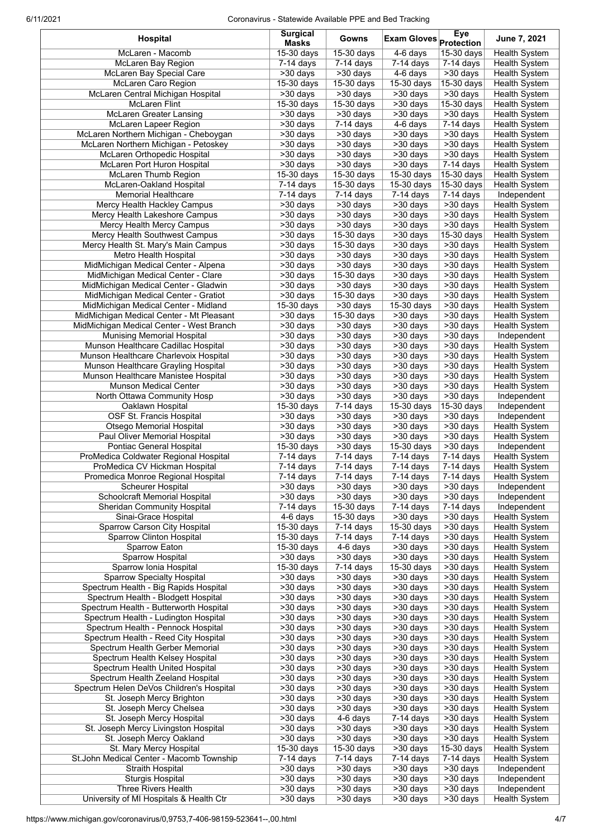## 6/11/2021 Coronavirus - Statewide Available PPE and Bed Tracking

| Hospital                                                                 | <b>Surgical</b><br><b>Masks</b>                                         | Gowns                                                          | Exam Gloves Protection                                          | Eye                                                     | June 7, 2021                          |
|--------------------------------------------------------------------------|-------------------------------------------------------------------------|----------------------------------------------------------------|-----------------------------------------------------------------|---------------------------------------------------------|---------------------------------------|
| McLaren - Macomb                                                         | $15-30$ days                                                            | 15-30 days                                                     | $4-6$ days                                                      | 15-30 days                                              | <b>Health System</b>                  |
| <b>McLaren Bay Region</b>                                                | $7-14$ days                                                             | $7-14$ days                                                    | $7-14$ days                                                     | $7-14$ days                                             | Health System                         |
| McLaren Bay Special Care                                                 | >30 days                                                                | $>30$ days                                                     | $4-6$ days                                                      | >30 days                                                | <b>Health System</b>                  |
| McLaren Caro Region                                                      | $15-30$ days                                                            | 15-30 days                                                     | 15-30 days                                                      | 15-30 days                                              | <b>Health System</b>                  |
| McLaren Central Michigan Hospital                                        | >30 days                                                                | >30 days                                                       | >30 days                                                        | $\overline{\phantom{1}}$ > 30 days                      | Health System                         |
| <b>McLaren Flint</b>                                                     | $15-30$ days                                                            | $15-30$ days                                                   | >30 days                                                        | 15-30 days                                              | <b>Health System</b>                  |
| <b>McLaren Greater Lansing</b><br>McLaren Lapeer Region                  | >30 days<br>$\overline{\smash{\sim}}30\overline{\smash{\mathrm{days}}}$ | $\overline{>30}$ days<br>$7-14$ days                           | $>30$ days<br>$4-6$ days                                        | $\overline{\sim}30$ days<br>$7-14$ days                 | Health System<br>Health System        |
| McLaren Northern Michigan - Cheboygan                                    | >30 days                                                                | >30 days                                                       | >30 days                                                        | >30 days                                                | <b>Health System</b>                  |
| McLaren Northern Michigan - Petoskey                                     | >30 days                                                                | >30 days                                                       | >30 days                                                        | $>30$ days                                              | <b>Health System</b>                  |
| McLaren Orthopedic Hospital                                              | >30 days                                                                | $\overline{\smash{\sim}}30\ \text{days}$                       | $\overline{\smash{\sim}}30\;{\rm days}$                         | $\overline{\phantom{1}}$ > 30 days                      | Health System                         |
| McLaren Port Huron Hospital                                              | $\overline{>30}$ days                                                   | $\overline{>30}$ days                                          | $\overline{>30}$ days                                           | 7-14 days                                               | Health System                         |
| McLaren Thumb Region                                                     | 15-30 days                                                              | 15-30 days                                                     | 15-30 days                                                      | 15-30 days                                              | <b>Health System</b>                  |
| McLaren-Oakland Hospital                                                 | $7-14$ days                                                             | $15-30$ days                                                   | 15-30 days                                                      | 15-30 days                                              | <b>Health System</b>                  |
| <b>Memorial Healthcare</b>                                               | $7-14$ days                                                             | $7-14$ days                                                    | $7-14$ days                                                     | 7-14 days                                               | Independent                           |
| Mercy Health Hackley Campus                                              | >30 days                                                                | >30 days                                                       | >30 days                                                        | >30 days                                                | Health System                         |
| Mercy Health Lakeshore Campus<br>Mercy Health Mercy Campus               | >30 days<br>>30 days                                                    | >30 days<br>$\overline{\smash{\sim}30}$ days                   | >30 days                                                        | >30 days<br>$\overline{\sim}30$ days                    | <b>Health System</b>                  |
| Mercy Health Southwest Campus                                            | $>30$ days                                                              | 15-30 days                                                     | >30 days<br>>30 days                                            | 15-30 days                                              | <b>Health System</b><br>Health System |
| Mercy Health St. Mary's Main Campus                                      | >30 days                                                                | 15-30 days                                                     | $>30$ days                                                      | >30 days                                                | Health System                         |
| Metro Health Hospital                                                    | >30 days                                                                | $\overline{\smash{\sim}}30\ \text{days}$                       | >30 days                                                        | $\overline{\sim}30$ days                                | <b>Health System</b>                  |
| MidMichigan Medical Center - Alpena                                      | $\overline{>}30$ days                                                   | $\overline{>30}$ days                                          | $>30$ days                                                      | $\overline{>}30$ days                                   | <b>Health System</b>                  |
| MidMichigan Medical Center - Clare                                       | $>30$ days                                                              | $15-30$ days                                                   | $>30$ days                                                      | $>30$ days                                              | Health System                         |
| MidMichigan Medical Center - Gladwin                                     | >30 days                                                                | >30 days                                                       | >30 days                                                        | $>30$ days                                              | Health System                         |
| MidMichigan Medical Center - Gratiot                                     | >30 days                                                                | 15-30 days                                                     | >30 days                                                        | $>30$ days                                              | <b>Health System</b>                  |
| MidMichigan Medical Center - Midland                                     | 15-30 days                                                              | >30 days                                                       | 15-30 days                                                      | $\overline{\sim}30$ days                                | <b>Health System</b>                  |
| MidMichigan Medical Center - Mt Pleasant                                 | $>30$ days                                                              | 15-30 days                                                     | $\overline{\smash{\times 30}}$ days                             | $>30$ days                                              | <b>Health System</b>                  |
| MidMichigan Medical Center - West Branch                                 | >30 days                                                                | $>30$ days                                                     | >30 days                                                        | >30 days                                                | <b>Health System</b>                  |
| <b>Munising Memorial Hospital</b><br>Munson Healthcare Cadillac Hospital | >30 days<br>$\overline{\smash{\times 30}}$ days                         | $\overline{\phantom{1}}$ > 30 days<br>$\overline{\sim}30$ days | $\overline{\smash{\times 30}}$ days<br>$\overline{\sim}30$ days | $\overline{\sim}30$ days<br>$\overline{\sim}30$ days    | Independent<br><b>Health System</b>   |
| Munson Healthcare Charlevoix Hospital                                    | >30 days                                                                | >30 days                                                       | $>30$ days                                                      | $\overline{\smash{\times 30}}$ days                     | <b>Health System</b>                  |
| Munson Healthcare Grayling Hospital                                      | >30 days                                                                | >30 days                                                       | >30 days                                                        | $>30$ days                                              | <b>Health System</b>                  |
| Munson Healthcare Manistee Hospital                                      | $\overline{\smash{\times 30}}$ days                                     | >30 days                                                       | $\overline{\smash{\times 30}}$ days                             | $\overline{\smash{\times 30}}\, \overline{\text{days}}$ | <b>Health System</b>                  |
| Munson Medical Center                                                    | >30 days                                                                | >30 days                                                       | >30 days                                                        | $>30$ days                                              | <b>Health System</b>                  |
| North Ottawa Community Hosp                                              | >30 days                                                                | >30 days                                                       | >30 days                                                        | $>30$ days                                              | Independent                           |
| Oaklawn Hospital                                                         | $15-30$ days                                                            | $7-14$ days                                                    | 15-30 days                                                      | $15-30$ days                                            | Independent                           |
| OSF St. Francis Hospital                                                 | $\overline{>30}$ days                                                   | $\overline{>30}$ days                                          | $>30$ days                                                      | $\overline{\phantom{1}}$ > 30 days                      | Independent                           |
| Otsego Memorial Hospital                                                 | $>30$ days                                                              | $\overline{>30}$ days                                          | >30 days                                                        | $\overline{>30}$ days                                   | <b>Health System</b>                  |
| Paul Oliver Memorial Hospital                                            | >30 days                                                                | >30 days<br>$\overline{\smash{\sim}}30\ \text{days}$           | >30 days                                                        | $>30$ days                                              | Health System                         |
| Pontiac General Hospital<br>ProMedica Coldwater Regional Hospital        | 15-30 days<br>7-14 days                                                 | 7-14 days                                                      | 15-30 days<br>$7-14$ days                                       | >30 days<br>$\overline{7}$ -14 days                     | Independent<br><b>Health System</b>   |
| ProMedica CV Hickman Hospital                                            | 7-14 days                                                               | 7-14 days                                                      | 7-14 days                                                       | 7-14 days                                               | <b>Health System</b>                  |
| Promedica Monroe Regional Hospital                                       | 7-14 days                                                               | 7-14 days                                                      | 7-14 days                                                       | 7-14 days                                               | <b>Health System</b>                  |
| <b>Scheurer Hospital</b>                                                 | >30 days                                                                | >30 days                                                       | >30 days                                                        | $>30$ days                                              | Independent                           |
| Schoolcraft Memorial Hospital                                            | >30 days                                                                | $>30$ days                                                     | >30 days                                                        | >30 days                                                | Independent                           |
| <b>Sheridan Community Hospital</b>                                       | $7-14$ days                                                             | 15-30 days                                                     | 7-14 days                                                       | $7-14$ days                                             | Independent                           |
| Sinai-Grace Hospital                                                     | 4-6 days                                                                | 15-30 days                                                     | >30 days                                                        | >30 days                                                | Health System                         |
| Sparrow Carson City Hospital                                             | 15-30 days                                                              | 7-14 days                                                      | 15-30 days                                                      | >30 days                                                | Health System                         |
| Sparrow Clinton Hospital                                                 | $15-30$ days                                                            | $7-14$ days                                                    | $7-14$ days                                                     | >30 days                                                | <b>Health System</b>                  |
| Sparrow Eaton<br>Sparrow Hospital                                        | 15-30 days<br>>30 days                                                  | 4-6 days<br>>30 days                                           | $\overline{>30}$ days<br>>30 days                               | $\overline{>30}$ days<br>$>30$ days                     | Health System<br>Health System        |
| Sparrow Ionia Hospital                                                   | $15-30$ days                                                            | $7-14$ days                                                    | 15-30 days                                                      | $\overline{>30}$ days                                   | Health System                         |
| <b>Sparrow Specialty Hospital</b>                                        | >30 days                                                                | $\overline{>30}$ days                                          | $\overline{>30}$ days                                           | >30 days                                                | <b>Health System</b>                  |
| Spectrum Health - Big Rapids Hospital                                    | >30 days                                                                | >30 days                                                       | >30 days                                                        | >30 days                                                | Health System                         |
| Spectrum Health - Blodgett Hospital                                      | >30 days                                                                | >30 days                                                       | >30 days                                                        | >30 days                                                | Health System                         |
| Spectrum Health - Butterworth Hospital                                   | >30 days                                                                | $>30$ days                                                     | >30 days                                                        | >30 days                                                | Health System                         |
| Spectrum Health - Ludington Hospital                                     | >30 days                                                                | >30 days                                                       | >30 days                                                        | >30 days                                                | <b>Health System</b>                  |
| Spectrum Health - Pennock Hospital                                       | >30 days                                                                | >30 days                                                       | >30 days                                                        | $\overline{\smash{\times 30}}$ days                     | <b>Health System</b>                  |
| Spectrum Health - Reed City Hospital                                     | >30 days                                                                | >30 days                                                       | >30 days                                                        | >30 days                                                | Health System                         |
| Spectrum Health Gerber Memorial<br>Spectrum Health Kelsey Hospital       | >30 days<br>>30 days                                                    | >30 days<br>>30 days                                           | >30 days<br>>30 days                                            | >30 days<br>>30 days                                    | Health System<br>Health System        |
| Spectrum Health United Hospital                                          | >30 days                                                                | >30 days                                                       | $>30$ days                                                      | $\overline{\smash{\times 30}}\, \overline{\text{days}}$ | <b>Health System</b>                  |
| Spectrum Health Zeeland Hospital                                         | >30 days                                                                | >30 days                                                       | >30 days                                                        | >30 days                                                | Health System                         |
| Spectrum Helen DeVos Children's Hospital                                 | >30 days                                                                | >30 days                                                       | >30 days                                                        | >30 days                                                | Health System                         |
| St. Joseph Mercy Brighton                                                | >30 days                                                                | >30 days                                                       | >30 days                                                        | >30 days                                                | Health System                         |
| St. Joseph Mercy Chelsea                                                 | >30 days                                                                | >30 days                                                       | >30 days                                                        | >30 days                                                | Health System                         |
| St. Joseph Mercy Hospital                                                | >30 days                                                                | 4-6 days                                                       | $7-14$ days                                                     | >30 days                                                | Health System                         |
| St. Joseph Mercy Livingston Hospital                                     | >30 days                                                                | >30 days                                                       | $\overline{\smash{\times 30}}$ days                             | >30 days                                                | <b>Health System</b>                  |
| St. Joseph Mercy Oakland                                                 | >30 days                                                                | >30 days                                                       | >30 days                                                        | >30 days                                                | Health System                         |
| St. Mary Mercy Hospital                                                  | 15-30 days<br>$\overline{7-14}$ days                                    | 15-30 days<br>$\overline{7-14}$ days                           | >30 days<br>$\overline{7}$ -14 days                             | 15-30 days<br>$7-14$ days                               | <b>Health System</b>                  |
| St.John Medical Center - Macomb Township<br>Straith Hospital             | $\overline{>30}$ days                                                   | $\overline{>30}$ days                                          | >30 days                                                        | >30 days                                                | Health System<br>Independent          |
| <b>Sturgis Hospital</b>                                                  | >30 days                                                                | >30 days                                                       | $\overline{>30}$ days                                           | >30 days                                                | Independent                           |
| Three Rivers Health                                                      | >30 days                                                                | >30 days                                                       | >30 days                                                        | $\overline{>30}$ days                                   | Independent                           |
| University of MI Hospitals & Health Ctr                                  | >30 days                                                                | >30 days                                                       | $>30$ days                                                      | >30 days                                                | <b>Health System</b>                  |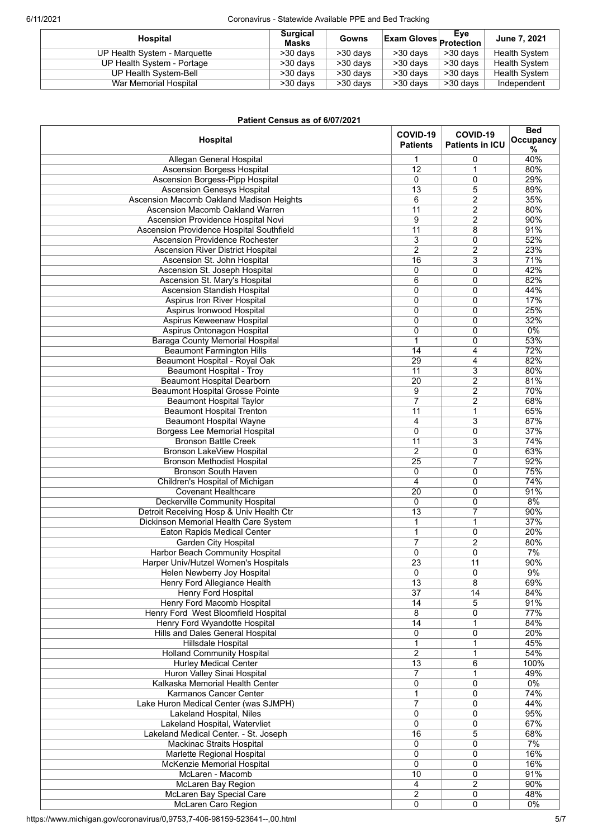## 6/11/2021 Coronavirus - Statewide Available PPE and Bed Tracking

| Hospital                     | <b>Surgical</b><br>Masks | Gowns      | $\overline{\mathsf{Exam}}$ Gloves $\overline{\mathsf{Protection}}_\bot$ |          | June 7, 2021         |
|------------------------------|--------------------------|------------|-------------------------------------------------------------------------|----------|----------------------|
| UP Health System - Marquette | >30 days                 | $>30$ days | $>30$ days                                                              | >30 days | <b>Health System</b> |
| UP Health System - Portage   | >30 days                 | $>30$ days | >30 days                                                                | >30 days | <b>Health System</b> |
| UP Health System-Bell        | >30 days                 | $>30$ days | >30 days                                                                | >30 days | <b>Health System</b> |
| War Memorial Hospital        | >30 days                 | >30 days   | >30 days                                                                | >30 days | Independent          |

| Patient Census as of 6/07/2021               |                             |                                    |                              |
|----------------------------------------------|-----------------------------|------------------------------------|------------------------------|
| Hospital                                     | COVID-19<br><b>Patients</b> | COVID-19<br><b>Patients in ICU</b> | <b>Bed</b><br>Occupancy<br>% |
| Allegan General Hospital                     | 1                           | 0                                  | 40%                          |
| <b>Ascension Borgess Hospital</b>            | 12                          | $\mathbf{1}$                       | 80%                          |
| <b>Ascension Borgess-Pipp Hospital</b>       | 0                           | $\mathbf 0$                        | 29%                          |
| Ascension Genesys Hospital                   | $\overline{13}$             | 5                                  | 89%                          |
| Ascension Macomb Oakland Madison Heights     | 6                           | $\overline{c}$                     | 35%                          |
| Ascension Macomb Oakland Warren              | 11                          | $\overline{c}$                     | 80%                          |
| Ascension Providence Hospital Novi           | 9                           | $\overline{c}$                     | 90%                          |
| Ascension Providence Hospital Southfield     | 11                          | 8                                  | 91%                          |
|                                              |                             |                                    |                              |
| <b>Ascension Providence Rochester</b>        | $\overline{3}$              | 0                                  | 52%                          |
| Ascension River District Hospital            | $\overline{2}$              | $\overline{c}$                     | 23%                          |
| Ascension St. John Hospital                  | 16                          | 3                                  | 71%                          |
| Ascension St. Joseph Hospital                | 0                           | $\mathbf 0$                        | 42%                          |
| Ascension St. Mary's Hospital                | 6                           | 0                                  | 82%                          |
| Ascension Standish Hospital                  | 0                           | $\mathbf 0$                        | 44%                          |
| Aspirus Iron River Hospital                  | 0                           | $\mathbf 0$                        | 17%                          |
| Aspirus Ironwood Hospital                    | 0                           | 0                                  | 25%                          |
| Aspirus Keweenaw Hospital                    | $\mathbf 0$                 | $\mathbf 0$                        | 32%                          |
| Aspirus Ontonagon Hospital                   | 0                           | $\mathbf 0$                        | $0\%$                        |
| <b>Baraga County Memorial Hospital</b>       | 1                           | $\mathbf 0$                        | 53%                          |
|                                              | $\overline{14}$             | 4                                  | 72%                          |
| <b>Beaumont Farmington Hills</b>             |                             |                                    |                              |
| Beaumont Hospital - Royal Oak                | $\overline{29}$             | 4                                  | 82%                          |
| Beaumont Hospital - Troy                     | 11                          | 3                                  | 80%                          |
| <b>Beaumont Hospital Dearborn</b>            | 20                          | $\overline{2}$                     | 81%                          |
| <b>Beaumont Hospital Grosse Pointe</b>       | $\overline{9}$              | $\overline{2}$                     | 70%                          |
| <b>Beaumont Hospital Taylor</b>              | $\overline{7}$              | $\overline{2}$                     | 68%                          |
| <b>Beaumont Hospital Trenton</b>             | $\overline{11}$             | $\mathbf 1$                        | 65%                          |
| <b>Beaumont Hospital Wayne</b>               | 4                           | 3                                  | 87%                          |
| <b>Borgess Lee Memorial Hospital</b>         | 0                           | $\mathbf 0$                        | 37%                          |
| <b>Bronson Battle Creek</b>                  | $\overline{11}$             | $\overline{3}$                     | 74%                          |
| Bronson LakeView Hospital                    | $\overline{2}$              | $\mathbf 0$                        | 63%                          |
| <b>Bronson Methodist Hospital</b>            | 25                          | 7                                  | 92%                          |
| <b>Bronson South Haven</b>                   | 0                           |                                    | 75%                          |
|                                              |                             | 0                                  |                              |
| Children's Hospital of Michigan              | 4                           | $\mathbf 0$                        | 74%                          |
| <b>Covenant Healthcare</b>                   | 20                          | $\mathbf 0$                        | 91%                          |
| Deckerville Community Hospital               | 0                           | 0                                  | 8%                           |
| Detroit Receiving Hosp & Univ Health Ctr     | $\overline{13}$             | 7                                  | 90%                          |
| <b>Dickinson Memorial Health Care System</b> | $\mathbf{1}$                | $\mathbf{1}$                       | 37%                          |
| <b>Eaton Rapids Medical Center</b>           | 1                           | 0                                  | 20%                          |
| <b>Garden City Hospital</b>                  | 7                           | $\overline{c}$                     | 80%                          |
| Harbor Beach Community Hospital              | 0                           | $\mathbf 0$                        | 7%                           |
| Harper Univ/Hutzel Women's Hospitals         | 23                          | 11                                 | 90%                          |
| Helen Newberry Joy Hospital                  | 0                           | 0                                  | 9%                           |
| Henry Ford Allegiance Health                 | 13                          | 8                                  | 69%                          |
| Henry Ford Hospital                          | 37                          | 14                                 | 84%                          |
| <b>Henry Ford Macomb Hospital</b>            | 14                          | 5                                  | 91%                          |
|                                              |                             |                                    |                              |
| Henry Ford West Bloomfield Hospital          | 8                           | 0                                  | 77%                          |
| Henry Ford Wyandotte Hospital                | 14                          | 1                                  | 84%                          |
| Hills and Dales General Hospital             | 0                           | 0                                  | 20%                          |
| Hillsdale Hospital                           | 1                           | 1                                  | 45%                          |
| <b>Holland Community Hospital</b>            | 2                           | 1                                  | 54%                          |
| <b>Hurley Medical Center</b>                 | 13                          | 6                                  | 100%                         |
| Huron Valley Sinai Hospital                  | $\overline{7}$              | 1                                  | 49%                          |
| Kalkaska Memorial Health Center              | 0                           | $\mathbf 0$                        | $0\%$                        |
| Karmanos Cancer Center                       | $\mathbf{1}$                | 0                                  | 74%                          |
| Lake Huron Medical Center (was SJMPH)        | 7                           | $\mathbf 0$                        | 44%                          |
| Lakeland Hospital, Niles                     | 0                           | $\mathbf 0$                        | 95%                          |
| Lakeland Hospital, Watervliet                | 0                           | 0                                  | 67%                          |
| Lakeland Medical Center. - St. Joseph        | 16                          | 5                                  | 68%                          |
|                                              |                             |                                    | 7%                           |
| <b>Mackinac Straits Hospital</b>             | 0                           | 0                                  |                              |
| Marlette Regional Hospital                   | 0                           | 0                                  | 16%                          |
| McKenzie Memorial Hospital                   | 0                           | 0                                  | 16%                          |
| McLaren - Macomb                             | 10                          | $\mathbf 0$                        | 91%                          |
| <b>McLaren Bay Region</b>                    | 4                           | $\overline{2}$                     | 90%                          |
| <b>McLaren Bay Special Care</b>              | $\overline{2}$              | $\overline{0}$                     | 48%                          |
| <b>McLaren Caro Region</b>                   | 0                           | 0                                  | $0\%$                        |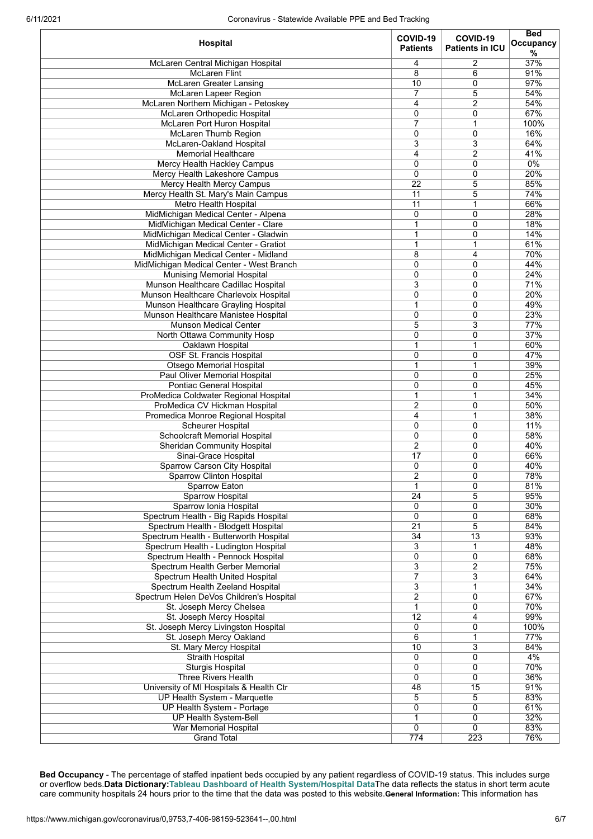| 37%<br>$\overline{2}$<br>McLaren Central Michigan Hospital<br>4<br>91%<br>8<br>6<br><b>McLaren Flint</b><br>97%<br>McLaren Greater Lansing<br>10<br>0<br><b>McLaren Lapeer Region</b><br>7<br>5<br>54%<br>$\overline{4}$<br>$\overline{c}$<br>54%<br>McLaren Northern Michigan - Petoskey<br>67%<br>McLaren Orthopedic Hospital<br>0<br>0<br>$\overline{7}$<br>McLaren Port Huron Hospital<br>$\mathbf{1}$<br>100%<br>16%<br>McLaren Thumb Region<br>$\mathbf{0}$<br>0<br>McLaren-Oakland Hospital<br>3<br>3<br>64%<br><b>Memorial Healthcare</b><br>4<br>2<br>41%<br>$\overline{0}$<br>$\overline{0}$<br>0%<br>Mercy Health Hackley Campus<br>20%<br>0<br>0<br>Mercy Health Lakeshore Campus<br>85%<br>$\overline{22}$<br>5<br>Mercy Health Mercy Campus<br>5<br>74%<br>$\overline{11}$<br>Mercy Health St. Mary's Main Campus<br>66%<br><b>Metro Health Hospital</b><br>$\overline{11}$<br>1<br>0<br>28%<br>MidMichigan Medical Center - Alpena<br>0<br>18%<br>1<br>0<br>MidMichigan Medical Center - Clare<br>14%<br>MidMichigan Medical Center - Gladwin<br>1<br>0<br>1<br>61%<br>MidMichigan Medical Center - Gratiot<br>1<br>70%<br>MidMichigan Medical Center - Midland<br>8<br>4<br>MidMichigan Medical Center - West Branch<br>$\mathbf 0$<br>0<br>44%<br><b>Munising Memorial Hospital</b><br>0<br>24%<br>0<br>3<br>71%<br>Munson Healthcare Cadillac Hospital<br>0<br>20%<br>Munson Healthcare Charlevoix Hospital<br>$\mathbf 0$<br>0<br>1<br>0<br>49%<br>Munson Healthcare Grayling Hospital<br>Munson Healthcare Manistee Hospital<br>0<br>0<br>23%<br>$\overline{5}$<br>3<br>77%<br><b>Munson Medical Center</b><br>37%<br>0<br>0<br>North Ottawa Community Hosp<br>60%<br>1<br>Oaklawn Hospital<br>1<br>47%<br>OSF St. Francis Hospital<br>$\mathbf 0$<br>0<br>39%<br>Otsego Memorial Hospital<br>1<br>1<br>$\mathbf 0$<br>0<br>25%<br>Paul Oliver Memorial Hospital<br>Pontiac General Hospital<br>0<br>0<br>45%<br>34%<br>ProMedica Coldwater Regional Hospital<br>1<br>1<br>2<br>50%<br>ProMedica CV Hickman Hospital<br>0<br>$\overline{4}$<br>$\mathbf{1}$<br>Promedica Monroe Regional Hospital<br>38%<br>$\mathbf 0$<br>0<br>11%<br>Scheurer Hospital<br><b>Schoolcraft Memorial Hospital</b><br>$\mathbf 0$<br>0<br>58%<br>$\overline{c}$<br>40%<br><b>Sheridan Community Hospital</b><br>0<br>$\overline{17}$<br>0<br>66%<br>Sinai-Grace Hospital<br>Sparrow Carson City Hospital<br>0<br>0<br>40%<br>78%<br>$\overline{2}$<br>0<br>Sparrow Clinton Hospital<br>$\mathbf{1}$<br>0<br>81%<br>Sparrow Eaton<br><b>Sparrow Hospital</b><br>$\overline{24}$<br>5<br>95%<br>30%<br>Sparrow Ionia Hospital<br>0<br>0<br>$\overline{0}$<br>0<br>68%<br>Spectrum Health - Big Rapids Hospital<br>$\overline{21}$<br>$\overline{5}$<br>Spectrum Health - Blodgett Hospital<br>84%<br>Spectrum Health - Butterworth Hospital<br>34<br>$\overline{13}$<br>93%<br>$\overline{3}$<br>Spectrum Health - Ludington Hospital<br>1<br>48%<br>$\overline{0}$<br>0<br>68%<br>Spectrum Health - Pennock Hospital<br>3<br>2<br>75%<br>Spectrum Health Gerber Memorial<br>$\overline{7}$<br>$\overline{3}$<br>64%<br>Spectrum Health United Hospital<br>$\overline{3}$<br>Spectrum Health Zeeland Hospital<br>1<br>34%<br>$\overline{2}$<br>67%<br>Spectrum Helen DeVos Children's Hospital<br>0<br>$\mathbf{1}$<br>0<br>70%<br>St. Joseph Mercy Chelsea<br>$\overline{12}$<br>99%<br>4<br>St. Joseph Mercy Hospital<br>100%<br>St. Joseph Mercy Livingston Hospital<br>0<br>0<br>6<br>1<br>77%<br>St. Joseph Mercy Oakland<br>3<br>10<br>84%<br>St. Mary Mercy Hospital<br><b>Straith Hospital</b><br>0<br>0<br>4%<br>70%<br><b>Sturgis Hospital</b><br>0<br>0<br>$\Omega$<br>0<br>Three Rivers Health<br>36%<br>University of MI Hospitals & Health Ctr<br>48<br>15<br>91%<br>83%<br>UP Health System - Marquette<br>5<br>5<br>0<br>0<br>61%<br>UP Health System - Portage<br>32%<br><b>UP Health System-Bell</b><br>1<br>0<br>War Memorial Hospital<br>0<br>0<br>83%<br>774<br>223<br>76%<br><b>Grand Total</b> | Hospital | COVID-19<br><b>Patients</b> | COVID-19<br><b>Patients in ICU</b> | <b>Bed</b><br>Occupancy<br>% |
|-----------------------------------------------------------------------------------------------------------------------------------------------------------------------------------------------------------------------------------------------------------------------------------------------------------------------------------------------------------------------------------------------------------------------------------------------------------------------------------------------------------------------------------------------------------------------------------------------------------------------------------------------------------------------------------------------------------------------------------------------------------------------------------------------------------------------------------------------------------------------------------------------------------------------------------------------------------------------------------------------------------------------------------------------------------------------------------------------------------------------------------------------------------------------------------------------------------------------------------------------------------------------------------------------------------------------------------------------------------------------------------------------------------------------------------------------------------------------------------------------------------------------------------------------------------------------------------------------------------------------------------------------------------------------------------------------------------------------------------------------------------------------------------------------------------------------------------------------------------------------------------------------------------------------------------------------------------------------------------------------------------------------------------------------------------------------------------------------------------------------------------------------------------------------------------------------------------------------------------------------------------------------------------------------------------------------------------------------------------------------------------------------------------------------------------------------------------------------------------------------------------------------------------------------------------------------------------------------------------------------------------------------------------------------------------------------------------------------------------------------------------------------------------------------------------------------------------------------------------------------------------------------------------------------------------------------------------------------------------------------------------------------------------------------------------------------------------------------------------------------------------------------------------------------------------------------------------------------------------------------------------------------------------------------------------------------------------------------------------------------------------------------------------------------------------------------------------------------------------------------------------------------------------------------------------------------------------------------------------------------------------------------------------------------------------------------------------------------------------------------------------------------------------------------------------------------------------------------------------------------------------------------------------------------------------------------------------------------------------------------------------------------|----------|-----------------------------|------------------------------------|------------------------------|
|                                                                                                                                                                                                                                                                                                                                                                                                                                                                                                                                                                                                                                                                                                                                                                                                                                                                                                                                                                                                                                                                                                                                                                                                                                                                                                                                                                                                                                                                                                                                                                                                                                                                                                                                                                                                                                                                                                                                                                                                                                                                                                                                                                                                                                                                                                                                                                                                                                                                                                                                                                                                                                                                                                                                                                                                                                                                                                                                                                                                                                                                                                                                                                                                                                                                                                                                                                                                                                                                                                                                                                                                                                                                                                                                                                                                                                                                                                                                                                                                                       |          |                             |                                    |                              |
|                                                                                                                                                                                                                                                                                                                                                                                                                                                                                                                                                                                                                                                                                                                                                                                                                                                                                                                                                                                                                                                                                                                                                                                                                                                                                                                                                                                                                                                                                                                                                                                                                                                                                                                                                                                                                                                                                                                                                                                                                                                                                                                                                                                                                                                                                                                                                                                                                                                                                                                                                                                                                                                                                                                                                                                                                                                                                                                                                                                                                                                                                                                                                                                                                                                                                                                                                                                                                                                                                                                                                                                                                                                                                                                                                                                                                                                                                                                                                                                                                       |          |                             |                                    |                              |
|                                                                                                                                                                                                                                                                                                                                                                                                                                                                                                                                                                                                                                                                                                                                                                                                                                                                                                                                                                                                                                                                                                                                                                                                                                                                                                                                                                                                                                                                                                                                                                                                                                                                                                                                                                                                                                                                                                                                                                                                                                                                                                                                                                                                                                                                                                                                                                                                                                                                                                                                                                                                                                                                                                                                                                                                                                                                                                                                                                                                                                                                                                                                                                                                                                                                                                                                                                                                                                                                                                                                                                                                                                                                                                                                                                                                                                                                                                                                                                                                                       |          |                             |                                    |                              |
|                                                                                                                                                                                                                                                                                                                                                                                                                                                                                                                                                                                                                                                                                                                                                                                                                                                                                                                                                                                                                                                                                                                                                                                                                                                                                                                                                                                                                                                                                                                                                                                                                                                                                                                                                                                                                                                                                                                                                                                                                                                                                                                                                                                                                                                                                                                                                                                                                                                                                                                                                                                                                                                                                                                                                                                                                                                                                                                                                                                                                                                                                                                                                                                                                                                                                                                                                                                                                                                                                                                                                                                                                                                                                                                                                                                                                                                                                                                                                                                                                       |          |                             |                                    |                              |
|                                                                                                                                                                                                                                                                                                                                                                                                                                                                                                                                                                                                                                                                                                                                                                                                                                                                                                                                                                                                                                                                                                                                                                                                                                                                                                                                                                                                                                                                                                                                                                                                                                                                                                                                                                                                                                                                                                                                                                                                                                                                                                                                                                                                                                                                                                                                                                                                                                                                                                                                                                                                                                                                                                                                                                                                                                                                                                                                                                                                                                                                                                                                                                                                                                                                                                                                                                                                                                                                                                                                                                                                                                                                                                                                                                                                                                                                                                                                                                                                                       |          |                             |                                    |                              |
|                                                                                                                                                                                                                                                                                                                                                                                                                                                                                                                                                                                                                                                                                                                                                                                                                                                                                                                                                                                                                                                                                                                                                                                                                                                                                                                                                                                                                                                                                                                                                                                                                                                                                                                                                                                                                                                                                                                                                                                                                                                                                                                                                                                                                                                                                                                                                                                                                                                                                                                                                                                                                                                                                                                                                                                                                                                                                                                                                                                                                                                                                                                                                                                                                                                                                                                                                                                                                                                                                                                                                                                                                                                                                                                                                                                                                                                                                                                                                                                                                       |          |                             |                                    |                              |
|                                                                                                                                                                                                                                                                                                                                                                                                                                                                                                                                                                                                                                                                                                                                                                                                                                                                                                                                                                                                                                                                                                                                                                                                                                                                                                                                                                                                                                                                                                                                                                                                                                                                                                                                                                                                                                                                                                                                                                                                                                                                                                                                                                                                                                                                                                                                                                                                                                                                                                                                                                                                                                                                                                                                                                                                                                                                                                                                                                                                                                                                                                                                                                                                                                                                                                                                                                                                                                                                                                                                                                                                                                                                                                                                                                                                                                                                                                                                                                                                                       |          |                             |                                    |                              |
|                                                                                                                                                                                                                                                                                                                                                                                                                                                                                                                                                                                                                                                                                                                                                                                                                                                                                                                                                                                                                                                                                                                                                                                                                                                                                                                                                                                                                                                                                                                                                                                                                                                                                                                                                                                                                                                                                                                                                                                                                                                                                                                                                                                                                                                                                                                                                                                                                                                                                                                                                                                                                                                                                                                                                                                                                                                                                                                                                                                                                                                                                                                                                                                                                                                                                                                                                                                                                                                                                                                                                                                                                                                                                                                                                                                                                                                                                                                                                                                                                       |          |                             |                                    |                              |
|                                                                                                                                                                                                                                                                                                                                                                                                                                                                                                                                                                                                                                                                                                                                                                                                                                                                                                                                                                                                                                                                                                                                                                                                                                                                                                                                                                                                                                                                                                                                                                                                                                                                                                                                                                                                                                                                                                                                                                                                                                                                                                                                                                                                                                                                                                                                                                                                                                                                                                                                                                                                                                                                                                                                                                                                                                                                                                                                                                                                                                                                                                                                                                                                                                                                                                                                                                                                                                                                                                                                                                                                                                                                                                                                                                                                                                                                                                                                                                                                                       |          |                             |                                    |                              |
|                                                                                                                                                                                                                                                                                                                                                                                                                                                                                                                                                                                                                                                                                                                                                                                                                                                                                                                                                                                                                                                                                                                                                                                                                                                                                                                                                                                                                                                                                                                                                                                                                                                                                                                                                                                                                                                                                                                                                                                                                                                                                                                                                                                                                                                                                                                                                                                                                                                                                                                                                                                                                                                                                                                                                                                                                                                                                                                                                                                                                                                                                                                                                                                                                                                                                                                                                                                                                                                                                                                                                                                                                                                                                                                                                                                                                                                                                                                                                                                                                       |          |                             |                                    |                              |
|                                                                                                                                                                                                                                                                                                                                                                                                                                                                                                                                                                                                                                                                                                                                                                                                                                                                                                                                                                                                                                                                                                                                                                                                                                                                                                                                                                                                                                                                                                                                                                                                                                                                                                                                                                                                                                                                                                                                                                                                                                                                                                                                                                                                                                                                                                                                                                                                                                                                                                                                                                                                                                                                                                                                                                                                                                                                                                                                                                                                                                                                                                                                                                                                                                                                                                                                                                                                                                                                                                                                                                                                                                                                                                                                                                                                                                                                                                                                                                                                                       |          |                             |                                    |                              |
|                                                                                                                                                                                                                                                                                                                                                                                                                                                                                                                                                                                                                                                                                                                                                                                                                                                                                                                                                                                                                                                                                                                                                                                                                                                                                                                                                                                                                                                                                                                                                                                                                                                                                                                                                                                                                                                                                                                                                                                                                                                                                                                                                                                                                                                                                                                                                                                                                                                                                                                                                                                                                                                                                                                                                                                                                                                                                                                                                                                                                                                                                                                                                                                                                                                                                                                                                                                                                                                                                                                                                                                                                                                                                                                                                                                                                                                                                                                                                                                                                       |          |                             |                                    |                              |
|                                                                                                                                                                                                                                                                                                                                                                                                                                                                                                                                                                                                                                                                                                                                                                                                                                                                                                                                                                                                                                                                                                                                                                                                                                                                                                                                                                                                                                                                                                                                                                                                                                                                                                                                                                                                                                                                                                                                                                                                                                                                                                                                                                                                                                                                                                                                                                                                                                                                                                                                                                                                                                                                                                                                                                                                                                                                                                                                                                                                                                                                                                                                                                                                                                                                                                                                                                                                                                                                                                                                                                                                                                                                                                                                                                                                                                                                                                                                                                                                                       |          |                             |                                    |                              |
|                                                                                                                                                                                                                                                                                                                                                                                                                                                                                                                                                                                                                                                                                                                                                                                                                                                                                                                                                                                                                                                                                                                                                                                                                                                                                                                                                                                                                                                                                                                                                                                                                                                                                                                                                                                                                                                                                                                                                                                                                                                                                                                                                                                                                                                                                                                                                                                                                                                                                                                                                                                                                                                                                                                                                                                                                                                                                                                                                                                                                                                                                                                                                                                                                                                                                                                                                                                                                                                                                                                                                                                                                                                                                                                                                                                                                                                                                                                                                                                                                       |          |                             |                                    |                              |
|                                                                                                                                                                                                                                                                                                                                                                                                                                                                                                                                                                                                                                                                                                                                                                                                                                                                                                                                                                                                                                                                                                                                                                                                                                                                                                                                                                                                                                                                                                                                                                                                                                                                                                                                                                                                                                                                                                                                                                                                                                                                                                                                                                                                                                                                                                                                                                                                                                                                                                                                                                                                                                                                                                                                                                                                                                                                                                                                                                                                                                                                                                                                                                                                                                                                                                                                                                                                                                                                                                                                                                                                                                                                                                                                                                                                                                                                                                                                                                                                                       |          |                             |                                    |                              |
|                                                                                                                                                                                                                                                                                                                                                                                                                                                                                                                                                                                                                                                                                                                                                                                                                                                                                                                                                                                                                                                                                                                                                                                                                                                                                                                                                                                                                                                                                                                                                                                                                                                                                                                                                                                                                                                                                                                                                                                                                                                                                                                                                                                                                                                                                                                                                                                                                                                                                                                                                                                                                                                                                                                                                                                                                                                                                                                                                                                                                                                                                                                                                                                                                                                                                                                                                                                                                                                                                                                                                                                                                                                                                                                                                                                                                                                                                                                                                                                                                       |          |                             |                                    |                              |
|                                                                                                                                                                                                                                                                                                                                                                                                                                                                                                                                                                                                                                                                                                                                                                                                                                                                                                                                                                                                                                                                                                                                                                                                                                                                                                                                                                                                                                                                                                                                                                                                                                                                                                                                                                                                                                                                                                                                                                                                                                                                                                                                                                                                                                                                                                                                                                                                                                                                                                                                                                                                                                                                                                                                                                                                                                                                                                                                                                                                                                                                                                                                                                                                                                                                                                                                                                                                                                                                                                                                                                                                                                                                                                                                                                                                                                                                                                                                                                                                                       |          |                             |                                    |                              |
|                                                                                                                                                                                                                                                                                                                                                                                                                                                                                                                                                                                                                                                                                                                                                                                                                                                                                                                                                                                                                                                                                                                                                                                                                                                                                                                                                                                                                                                                                                                                                                                                                                                                                                                                                                                                                                                                                                                                                                                                                                                                                                                                                                                                                                                                                                                                                                                                                                                                                                                                                                                                                                                                                                                                                                                                                                                                                                                                                                                                                                                                                                                                                                                                                                                                                                                                                                                                                                                                                                                                                                                                                                                                                                                                                                                                                                                                                                                                                                                                                       |          |                             |                                    |                              |
|                                                                                                                                                                                                                                                                                                                                                                                                                                                                                                                                                                                                                                                                                                                                                                                                                                                                                                                                                                                                                                                                                                                                                                                                                                                                                                                                                                                                                                                                                                                                                                                                                                                                                                                                                                                                                                                                                                                                                                                                                                                                                                                                                                                                                                                                                                                                                                                                                                                                                                                                                                                                                                                                                                                                                                                                                                                                                                                                                                                                                                                                                                                                                                                                                                                                                                                                                                                                                                                                                                                                                                                                                                                                                                                                                                                                                                                                                                                                                                                                                       |          |                             |                                    |                              |
|                                                                                                                                                                                                                                                                                                                                                                                                                                                                                                                                                                                                                                                                                                                                                                                                                                                                                                                                                                                                                                                                                                                                                                                                                                                                                                                                                                                                                                                                                                                                                                                                                                                                                                                                                                                                                                                                                                                                                                                                                                                                                                                                                                                                                                                                                                                                                                                                                                                                                                                                                                                                                                                                                                                                                                                                                                                                                                                                                                                                                                                                                                                                                                                                                                                                                                                                                                                                                                                                                                                                                                                                                                                                                                                                                                                                                                                                                                                                                                                                                       |          |                             |                                    |                              |
|                                                                                                                                                                                                                                                                                                                                                                                                                                                                                                                                                                                                                                                                                                                                                                                                                                                                                                                                                                                                                                                                                                                                                                                                                                                                                                                                                                                                                                                                                                                                                                                                                                                                                                                                                                                                                                                                                                                                                                                                                                                                                                                                                                                                                                                                                                                                                                                                                                                                                                                                                                                                                                                                                                                                                                                                                                                                                                                                                                                                                                                                                                                                                                                                                                                                                                                                                                                                                                                                                                                                                                                                                                                                                                                                                                                                                                                                                                                                                                                                                       |          |                             |                                    |                              |
|                                                                                                                                                                                                                                                                                                                                                                                                                                                                                                                                                                                                                                                                                                                                                                                                                                                                                                                                                                                                                                                                                                                                                                                                                                                                                                                                                                                                                                                                                                                                                                                                                                                                                                                                                                                                                                                                                                                                                                                                                                                                                                                                                                                                                                                                                                                                                                                                                                                                                                                                                                                                                                                                                                                                                                                                                                                                                                                                                                                                                                                                                                                                                                                                                                                                                                                                                                                                                                                                                                                                                                                                                                                                                                                                                                                                                                                                                                                                                                                                                       |          |                             |                                    |                              |
|                                                                                                                                                                                                                                                                                                                                                                                                                                                                                                                                                                                                                                                                                                                                                                                                                                                                                                                                                                                                                                                                                                                                                                                                                                                                                                                                                                                                                                                                                                                                                                                                                                                                                                                                                                                                                                                                                                                                                                                                                                                                                                                                                                                                                                                                                                                                                                                                                                                                                                                                                                                                                                                                                                                                                                                                                                                                                                                                                                                                                                                                                                                                                                                                                                                                                                                                                                                                                                                                                                                                                                                                                                                                                                                                                                                                                                                                                                                                                                                                                       |          |                             |                                    |                              |
|                                                                                                                                                                                                                                                                                                                                                                                                                                                                                                                                                                                                                                                                                                                                                                                                                                                                                                                                                                                                                                                                                                                                                                                                                                                                                                                                                                                                                                                                                                                                                                                                                                                                                                                                                                                                                                                                                                                                                                                                                                                                                                                                                                                                                                                                                                                                                                                                                                                                                                                                                                                                                                                                                                                                                                                                                                                                                                                                                                                                                                                                                                                                                                                                                                                                                                                                                                                                                                                                                                                                                                                                                                                                                                                                                                                                                                                                                                                                                                                                                       |          |                             |                                    |                              |
|                                                                                                                                                                                                                                                                                                                                                                                                                                                                                                                                                                                                                                                                                                                                                                                                                                                                                                                                                                                                                                                                                                                                                                                                                                                                                                                                                                                                                                                                                                                                                                                                                                                                                                                                                                                                                                                                                                                                                                                                                                                                                                                                                                                                                                                                                                                                                                                                                                                                                                                                                                                                                                                                                                                                                                                                                                                                                                                                                                                                                                                                                                                                                                                                                                                                                                                                                                                                                                                                                                                                                                                                                                                                                                                                                                                                                                                                                                                                                                                                                       |          |                             |                                    |                              |
|                                                                                                                                                                                                                                                                                                                                                                                                                                                                                                                                                                                                                                                                                                                                                                                                                                                                                                                                                                                                                                                                                                                                                                                                                                                                                                                                                                                                                                                                                                                                                                                                                                                                                                                                                                                                                                                                                                                                                                                                                                                                                                                                                                                                                                                                                                                                                                                                                                                                                                                                                                                                                                                                                                                                                                                                                                                                                                                                                                                                                                                                                                                                                                                                                                                                                                                                                                                                                                                                                                                                                                                                                                                                                                                                                                                                                                                                                                                                                                                                                       |          |                             |                                    |                              |
|                                                                                                                                                                                                                                                                                                                                                                                                                                                                                                                                                                                                                                                                                                                                                                                                                                                                                                                                                                                                                                                                                                                                                                                                                                                                                                                                                                                                                                                                                                                                                                                                                                                                                                                                                                                                                                                                                                                                                                                                                                                                                                                                                                                                                                                                                                                                                                                                                                                                                                                                                                                                                                                                                                                                                                                                                                                                                                                                                                                                                                                                                                                                                                                                                                                                                                                                                                                                                                                                                                                                                                                                                                                                                                                                                                                                                                                                                                                                                                                                                       |          |                             |                                    |                              |
|                                                                                                                                                                                                                                                                                                                                                                                                                                                                                                                                                                                                                                                                                                                                                                                                                                                                                                                                                                                                                                                                                                                                                                                                                                                                                                                                                                                                                                                                                                                                                                                                                                                                                                                                                                                                                                                                                                                                                                                                                                                                                                                                                                                                                                                                                                                                                                                                                                                                                                                                                                                                                                                                                                                                                                                                                                                                                                                                                                                                                                                                                                                                                                                                                                                                                                                                                                                                                                                                                                                                                                                                                                                                                                                                                                                                                                                                                                                                                                                                                       |          |                             |                                    |                              |
|                                                                                                                                                                                                                                                                                                                                                                                                                                                                                                                                                                                                                                                                                                                                                                                                                                                                                                                                                                                                                                                                                                                                                                                                                                                                                                                                                                                                                                                                                                                                                                                                                                                                                                                                                                                                                                                                                                                                                                                                                                                                                                                                                                                                                                                                                                                                                                                                                                                                                                                                                                                                                                                                                                                                                                                                                                                                                                                                                                                                                                                                                                                                                                                                                                                                                                                                                                                                                                                                                                                                                                                                                                                                                                                                                                                                                                                                                                                                                                                                                       |          |                             |                                    |                              |
|                                                                                                                                                                                                                                                                                                                                                                                                                                                                                                                                                                                                                                                                                                                                                                                                                                                                                                                                                                                                                                                                                                                                                                                                                                                                                                                                                                                                                                                                                                                                                                                                                                                                                                                                                                                                                                                                                                                                                                                                                                                                                                                                                                                                                                                                                                                                                                                                                                                                                                                                                                                                                                                                                                                                                                                                                                                                                                                                                                                                                                                                                                                                                                                                                                                                                                                                                                                                                                                                                                                                                                                                                                                                                                                                                                                                                                                                                                                                                                                                                       |          |                             |                                    |                              |
|                                                                                                                                                                                                                                                                                                                                                                                                                                                                                                                                                                                                                                                                                                                                                                                                                                                                                                                                                                                                                                                                                                                                                                                                                                                                                                                                                                                                                                                                                                                                                                                                                                                                                                                                                                                                                                                                                                                                                                                                                                                                                                                                                                                                                                                                                                                                                                                                                                                                                                                                                                                                                                                                                                                                                                                                                                                                                                                                                                                                                                                                                                                                                                                                                                                                                                                                                                                                                                                                                                                                                                                                                                                                                                                                                                                                                                                                                                                                                                                                                       |          |                             |                                    |                              |
|                                                                                                                                                                                                                                                                                                                                                                                                                                                                                                                                                                                                                                                                                                                                                                                                                                                                                                                                                                                                                                                                                                                                                                                                                                                                                                                                                                                                                                                                                                                                                                                                                                                                                                                                                                                                                                                                                                                                                                                                                                                                                                                                                                                                                                                                                                                                                                                                                                                                                                                                                                                                                                                                                                                                                                                                                                                                                                                                                                                                                                                                                                                                                                                                                                                                                                                                                                                                                                                                                                                                                                                                                                                                                                                                                                                                                                                                                                                                                                                                                       |          |                             |                                    |                              |
|                                                                                                                                                                                                                                                                                                                                                                                                                                                                                                                                                                                                                                                                                                                                                                                                                                                                                                                                                                                                                                                                                                                                                                                                                                                                                                                                                                                                                                                                                                                                                                                                                                                                                                                                                                                                                                                                                                                                                                                                                                                                                                                                                                                                                                                                                                                                                                                                                                                                                                                                                                                                                                                                                                                                                                                                                                                                                                                                                                                                                                                                                                                                                                                                                                                                                                                                                                                                                                                                                                                                                                                                                                                                                                                                                                                                                                                                                                                                                                                                                       |          |                             |                                    |                              |
|                                                                                                                                                                                                                                                                                                                                                                                                                                                                                                                                                                                                                                                                                                                                                                                                                                                                                                                                                                                                                                                                                                                                                                                                                                                                                                                                                                                                                                                                                                                                                                                                                                                                                                                                                                                                                                                                                                                                                                                                                                                                                                                                                                                                                                                                                                                                                                                                                                                                                                                                                                                                                                                                                                                                                                                                                                                                                                                                                                                                                                                                                                                                                                                                                                                                                                                                                                                                                                                                                                                                                                                                                                                                                                                                                                                                                                                                                                                                                                                                                       |          |                             |                                    |                              |
|                                                                                                                                                                                                                                                                                                                                                                                                                                                                                                                                                                                                                                                                                                                                                                                                                                                                                                                                                                                                                                                                                                                                                                                                                                                                                                                                                                                                                                                                                                                                                                                                                                                                                                                                                                                                                                                                                                                                                                                                                                                                                                                                                                                                                                                                                                                                                                                                                                                                                                                                                                                                                                                                                                                                                                                                                                                                                                                                                                                                                                                                                                                                                                                                                                                                                                                                                                                                                                                                                                                                                                                                                                                                                                                                                                                                                                                                                                                                                                                                                       |          |                             |                                    |                              |
|                                                                                                                                                                                                                                                                                                                                                                                                                                                                                                                                                                                                                                                                                                                                                                                                                                                                                                                                                                                                                                                                                                                                                                                                                                                                                                                                                                                                                                                                                                                                                                                                                                                                                                                                                                                                                                                                                                                                                                                                                                                                                                                                                                                                                                                                                                                                                                                                                                                                                                                                                                                                                                                                                                                                                                                                                                                                                                                                                                                                                                                                                                                                                                                                                                                                                                                                                                                                                                                                                                                                                                                                                                                                                                                                                                                                                                                                                                                                                                                                                       |          |                             |                                    |                              |
|                                                                                                                                                                                                                                                                                                                                                                                                                                                                                                                                                                                                                                                                                                                                                                                                                                                                                                                                                                                                                                                                                                                                                                                                                                                                                                                                                                                                                                                                                                                                                                                                                                                                                                                                                                                                                                                                                                                                                                                                                                                                                                                                                                                                                                                                                                                                                                                                                                                                                                                                                                                                                                                                                                                                                                                                                                                                                                                                                                                                                                                                                                                                                                                                                                                                                                                                                                                                                                                                                                                                                                                                                                                                                                                                                                                                                                                                                                                                                                                                                       |          |                             |                                    |                              |
|                                                                                                                                                                                                                                                                                                                                                                                                                                                                                                                                                                                                                                                                                                                                                                                                                                                                                                                                                                                                                                                                                                                                                                                                                                                                                                                                                                                                                                                                                                                                                                                                                                                                                                                                                                                                                                                                                                                                                                                                                                                                                                                                                                                                                                                                                                                                                                                                                                                                                                                                                                                                                                                                                                                                                                                                                                                                                                                                                                                                                                                                                                                                                                                                                                                                                                                                                                                                                                                                                                                                                                                                                                                                                                                                                                                                                                                                                                                                                                                                                       |          |                             |                                    |                              |
|                                                                                                                                                                                                                                                                                                                                                                                                                                                                                                                                                                                                                                                                                                                                                                                                                                                                                                                                                                                                                                                                                                                                                                                                                                                                                                                                                                                                                                                                                                                                                                                                                                                                                                                                                                                                                                                                                                                                                                                                                                                                                                                                                                                                                                                                                                                                                                                                                                                                                                                                                                                                                                                                                                                                                                                                                                                                                                                                                                                                                                                                                                                                                                                                                                                                                                                                                                                                                                                                                                                                                                                                                                                                                                                                                                                                                                                                                                                                                                                                                       |          |                             |                                    |                              |
|                                                                                                                                                                                                                                                                                                                                                                                                                                                                                                                                                                                                                                                                                                                                                                                                                                                                                                                                                                                                                                                                                                                                                                                                                                                                                                                                                                                                                                                                                                                                                                                                                                                                                                                                                                                                                                                                                                                                                                                                                                                                                                                                                                                                                                                                                                                                                                                                                                                                                                                                                                                                                                                                                                                                                                                                                                                                                                                                                                                                                                                                                                                                                                                                                                                                                                                                                                                                                                                                                                                                                                                                                                                                                                                                                                                                                                                                                                                                                                                                                       |          |                             |                                    |                              |
|                                                                                                                                                                                                                                                                                                                                                                                                                                                                                                                                                                                                                                                                                                                                                                                                                                                                                                                                                                                                                                                                                                                                                                                                                                                                                                                                                                                                                                                                                                                                                                                                                                                                                                                                                                                                                                                                                                                                                                                                                                                                                                                                                                                                                                                                                                                                                                                                                                                                                                                                                                                                                                                                                                                                                                                                                                                                                                                                                                                                                                                                                                                                                                                                                                                                                                                                                                                                                                                                                                                                                                                                                                                                                                                                                                                                                                                                                                                                                                                                                       |          |                             |                                    |                              |
|                                                                                                                                                                                                                                                                                                                                                                                                                                                                                                                                                                                                                                                                                                                                                                                                                                                                                                                                                                                                                                                                                                                                                                                                                                                                                                                                                                                                                                                                                                                                                                                                                                                                                                                                                                                                                                                                                                                                                                                                                                                                                                                                                                                                                                                                                                                                                                                                                                                                                                                                                                                                                                                                                                                                                                                                                                                                                                                                                                                                                                                                                                                                                                                                                                                                                                                                                                                                                                                                                                                                                                                                                                                                                                                                                                                                                                                                                                                                                                                                                       |          |                             |                                    |                              |
|                                                                                                                                                                                                                                                                                                                                                                                                                                                                                                                                                                                                                                                                                                                                                                                                                                                                                                                                                                                                                                                                                                                                                                                                                                                                                                                                                                                                                                                                                                                                                                                                                                                                                                                                                                                                                                                                                                                                                                                                                                                                                                                                                                                                                                                                                                                                                                                                                                                                                                                                                                                                                                                                                                                                                                                                                                                                                                                                                                                                                                                                                                                                                                                                                                                                                                                                                                                                                                                                                                                                                                                                                                                                                                                                                                                                                                                                                                                                                                                                                       |          |                             |                                    |                              |
|                                                                                                                                                                                                                                                                                                                                                                                                                                                                                                                                                                                                                                                                                                                                                                                                                                                                                                                                                                                                                                                                                                                                                                                                                                                                                                                                                                                                                                                                                                                                                                                                                                                                                                                                                                                                                                                                                                                                                                                                                                                                                                                                                                                                                                                                                                                                                                                                                                                                                                                                                                                                                                                                                                                                                                                                                                                                                                                                                                                                                                                                                                                                                                                                                                                                                                                                                                                                                                                                                                                                                                                                                                                                                                                                                                                                                                                                                                                                                                                                                       |          |                             |                                    |                              |
|                                                                                                                                                                                                                                                                                                                                                                                                                                                                                                                                                                                                                                                                                                                                                                                                                                                                                                                                                                                                                                                                                                                                                                                                                                                                                                                                                                                                                                                                                                                                                                                                                                                                                                                                                                                                                                                                                                                                                                                                                                                                                                                                                                                                                                                                                                                                                                                                                                                                                                                                                                                                                                                                                                                                                                                                                                                                                                                                                                                                                                                                                                                                                                                                                                                                                                                                                                                                                                                                                                                                                                                                                                                                                                                                                                                                                                                                                                                                                                                                                       |          |                             |                                    |                              |
|                                                                                                                                                                                                                                                                                                                                                                                                                                                                                                                                                                                                                                                                                                                                                                                                                                                                                                                                                                                                                                                                                                                                                                                                                                                                                                                                                                                                                                                                                                                                                                                                                                                                                                                                                                                                                                                                                                                                                                                                                                                                                                                                                                                                                                                                                                                                                                                                                                                                                                                                                                                                                                                                                                                                                                                                                                                                                                                                                                                                                                                                                                                                                                                                                                                                                                                                                                                                                                                                                                                                                                                                                                                                                                                                                                                                                                                                                                                                                                                                                       |          |                             |                                    |                              |
|                                                                                                                                                                                                                                                                                                                                                                                                                                                                                                                                                                                                                                                                                                                                                                                                                                                                                                                                                                                                                                                                                                                                                                                                                                                                                                                                                                                                                                                                                                                                                                                                                                                                                                                                                                                                                                                                                                                                                                                                                                                                                                                                                                                                                                                                                                                                                                                                                                                                                                                                                                                                                                                                                                                                                                                                                                                                                                                                                                                                                                                                                                                                                                                                                                                                                                                                                                                                                                                                                                                                                                                                                                                                                                                                                                                                                                                                                                                                                                                                                       |          |                             |                                    |                              |
|                                                                                                                                                                                                                                                                                                                                                                                                                                                                                                                                                                                                                                                                                                                                                                                                                                                                                                                                                                                                                                                                                                                                                                                                                                                                                                                                                                                                                                                                                                                                                                                                                                                                                                                                                                                                                                                                                                                                                                                                                                                                                                                                                                                                                                                                                                                                                                                                                                                                                                                                                                                                                                                                                                                                                                                                                                                                                                                                                                                                                                                                                                                                                                                                                                                                                                                                                                                                                                                                                                                                                                                                                                                                                                                                                                                                                                                                                                                                                                                                                       |          |                             |                                    |                              |
|                                                                                                                                                                                                                                                                                                                                                                                                                                                                                                                                                                                                                                                                                                                                                                                                                                                                                                                                                                                                                                                                                                                                                                                                                                                                                                                                                                                                                                                                                                                                                                                                                                                                                                                                                                                                                                                                                                                                                                                                                                                                                                                                                                                                                                                                                                                                                                                                                                                                                                                                                                                                                                                                                                                                                                                                                                                                                                                                                                                                                                                                                                                                                                                                                                                                                                                                                                                                                                                                                                                                                                                                                                                                                                                                                                                                                                                                                                                                                                                                                       |          |                             |                                    |                              |
|                                                                                                                                                                                                                                                                                                                                                                                                                                                                                                                                                                                                                                                                                                                                                                                                                                                                                                                                                                                                                                                                                                                                                                                                                                                                                                                                                                                                                                                                                                                                                                                                                                                                                                                                                                                                                                                                                                                                                                                                                                                                                                                                                                                                                                                                                                                                                                                                                                                                                                                                                                                                                                                                                                                                                                                                                                                                                                                                                                                                                                                                                                                                                                                                                                                                                                                                                                                                                                                                                                                                                                                                                                                                                                                                                                                                                                                                                                                                                                                                                       |          |                             |                                    |                              |
|                                                                                                                                                                                                                                                                                                                                                                                                                                                                                                                                                                                                                                                                                                                                                                                                                                                                                                                                                                                                                                                                                                                                                                                                                                                                                                                                                                                                                                                                                                                                                                                                                                                                                                                                                                                                                                                                                                                                                                                                                                                                                                                                                                                                                                                                                                                                                                                                                                                                                                                                                                                                                                                                                                                                                                                                                                                                                                                                                                                                                                                                                                                                                                                                                                                                                                                                                                                                                                                                                                                                                                                                                                                                                                                                                                                                                                                                                                                                                                                                                       |          |                             |                                    |                              |
|                                                                                                                                                                                                                                                                                                                                                                                                                                                                                                                                                                                                                                                                                                                                                                                                                                                                                                                                                                                                                                                                                                                                                                                                                                                                                                                                                                                                                                                                                                                                                                                                                                                                                                                                                                                                                                                                                                                                                                                                                                                                                                                                                                                                                                                                                                                                                                                                                                                                                                                                                                                                                                                                                                                                                                                                                                                                                                                                                                                                                                                                                                                                                                                                                                                                                                                                                                                                                                                                                                                                                                                                                                                                                                                                                                                                                                                                                                                                                                                                                       |          |                             |                                    |                              |
|                                                                                                                                                                                                                                                                                                                                                                                                                                                                                                                                                                                                                                                                                                                                                                                                                                                                                                                                                                                                                                                                                                                                                                                                                                                                                                                                                                                                                                                                                                                                                                                                                                                                                                                                                                                                                                                                                                                                                                                                                                                                                                                                                                                                                                                                                                                                                                                                                                                                                                                                                                                                                                                                                                                                                                                                                                                                                                                                                                                                                                                                                                                                                                                                                                                                                                                                                                                                                                                                                                                                                                                                                                                                                                                                                                                                                                                                                                                                                                                                                       |          |                             |                                    |                              |
|                                                                                                                                                                                                                                                                                                                                                                                                                                                                                                                                                                                                                                                                                                                                                                                                                                                                                                                                                                                                                                                                                                                                                                                                                                                                                                                                                                                                                                                                                                                                                                                                                                                                                                                                                                                                                                                                                                                                                                                                                                                                                                                                                                                                                                                                                                                                                                                                                                                                                                                                                                                                                                                                                                                                                                                                                                                                                                                                                                                                                                                                                                                                                                                                                                                                                                                                                                                                                                                                                                                                                                                                                                                                                                                                                                                                                                                                                                                                                                                                                       |          |                             |                                    |                              |
|                                                                                                                                                                                                                                                                                                                                                                                                                                                                                                                                                                                                                                                                                                                                                                                                                                                                                                                                                                                                                                                                                                                                                                                                                                                                                                                                                                                                                                                                                                                                                                                                                                                                                                                                                                                                                                                                                                                                                                                                                                                                                                                                                                                                                                                                                                                                                                                                                                                                                                                                                                                                                                                                                                                                                                                                                                                                                                                                                                                                                                                                                                                                                                                                                                                                                                                                                                                                                                                                                                                                                                                                                                                                                                                                                                                                                                                                                                                                                                                                                       |          |                             |                                    |                              |
|                                                                                                                                                                                                                                                                                                                                                                                                                                                                                                                                                                                                                                                                                                                                                                                                                                                                                                                                                                                                                                                                                                                                                                                                                                                                                                                                                                                                                                                                                                                                                                                                                                                                                                                                                                                                                                                                                                                                                                                                                                                                                                                                                                                                                                                                                                                                                                                                                                                                                                                                                                                                                                                                                                                                                                                                                                                                                                                                                                                                                                                                                                                                                                                                                                                                                                                                                                                                                                                                                                                                                                                                                                                                                                                                                                                                                                                                                                                                                                                                                       |          |                             |                                    |                              |
|                                                                                                                                                                                                                                                                                                                                                                                                                                                                                                                                                                                                                                                                                                                                                                                                                                                                                                                                                                                                                                                                                                                                                                                                                                                                                                                                                                                                                                                                                                                                                                                                                                                                                                                                                                                                                                                                                                                                                                                                                                                                                                                                                                                                                                                                                                                                                                                                                                                                                                                                                                                                                                                                                                                                                                                                                                                                                                                                                                                                                                                                                                                                                                                                                                                                                                                                                                                                                                                                                                                                                                                                                                                                                                                                                                                                                                                                                                                                                                                                                       |          |                             |                                    |                              |
|                                                                                                                                                                                                                                                                                                                                                                                                                                                                                                                                                                                                                                                                                                                                                                                                                                                                                                                                                                                                                                                                                                                                                                                                                                                                                                                                                                                                                                                                                                                                                                                                                                                                                                                                                                                                                                                                                                                                                                                                                                                                                                                                                                                                                                                                                                                                                                                                                                                                                                                                                                                                                                                                                                                                                                                                                                                                                                                                                                                                                                                                                                                                                                                                                                                                                                                                                                                                                                                                                                                                                                                                                                                                                                                                                                                                                                                                                                                                                                                                                       |          |                             |                                    |                              |
|                                                                                                                                                                                                                                                                                                                                                                                                                                                                                                                                                                                                                                                                                                                                                                                                                                                                                                                                                                                                                                                                                                                                                                                                                                                                                                                                                                                                                                                                                                                                                                                                                                                                                                                                                                                                                                                                                                                                                                                                                                                                                                                                                                                                                                                                                                                                                                                                                                                                                                                                                                                                                                                                                                                                                                                                                                                                                                                                                                                                                                                                                                                                                                                                                                                                                                                                                                                                                                                                                                                                                                                                                                                                                                                                                                                                                                                                                                                                                                                                                       |          |                             |                                    |                              |
|                                                                                                                                                                                                                                                                                                                                                                                                                                                                                                                                                                                                                                                                                                                                                                                                                                                                                                                                                                                                                                                                                                                                                                                                                                                                                                                                                                                                                                                                                                                                                                                                                                                                                                                                                                                                                                                                                                                                                                                                                                                                                                                                                                                                                                                                                                                                                                                                                                                                                                                                                                                                                                                                                                                                                                                                                                                                                                                                                                                                                                                                                                                                                                                                                                                                                                                                                                                                                                                                                                                                                                                                                                                                                                                                                                                                                                                                                                                                                                                                                       |          |                             |                                    |                              |
|                                                                                                                                                                                                                                                                                                                                                                                                                                                                                                                                                                                                                                                                                                                                                                                                                                                                                                                                                                                                                                                                                                                                                                                                                                                                                                                                                                                                                                                                                                                                                                                                                                                                                                                                                                                                                                                                                                                                                                                                                                                                                                                                                                                                                                                                                                                                                                                                                                                                                                                                                                                                                                                                                                                                                                                                                                                                                                                                                                                                                                                                                                                                                                                                                                                                                                                                                                                                                                                                                                                                                                                                                                                                                                                                                                                                                                                                                                                                                                                                                       |          |                             |                                    |                              |
|                                                                                                                                                                                                                                                                                                                                                                                                                                                                                                                                                                                                                                                                                                                                                                                                                                                                                                                                                                                                                                                                                                                                                                                                                                                                                                                                                                                                                                                                                                                                                                                                                                                                                                                                                                                                                                                                                                                                                                                                                                                                                                                                                                                                                                                                                                                                                                                                                                                                                                                                                                                                                                                                                                                                                                                                                                                                                                                                                                                                                                                                                                                                                                                                                                                                                                                                                                                                                                                                                                                                                                                                                                                                                                                                                                                                                                                                                                                                                                                                                       |          |                             |                                    |                              |

**Bed Occupancy** - The percentage of staffed inpatient beds occupied by any patient regardless of COVID-19 status. This includes surge or overflow beds.**Data Dictionary:[Tableau Dashboard of Health System/Hospital Data](https://public.tableau.com/profile/mhapublic#!/vizhome/COVIDPublicDashboard/PleaseRead)**The data reflects the status in short term acute care community hospitals 24 hours prior to the time that the data was posted to this website.**General Information:** This information has